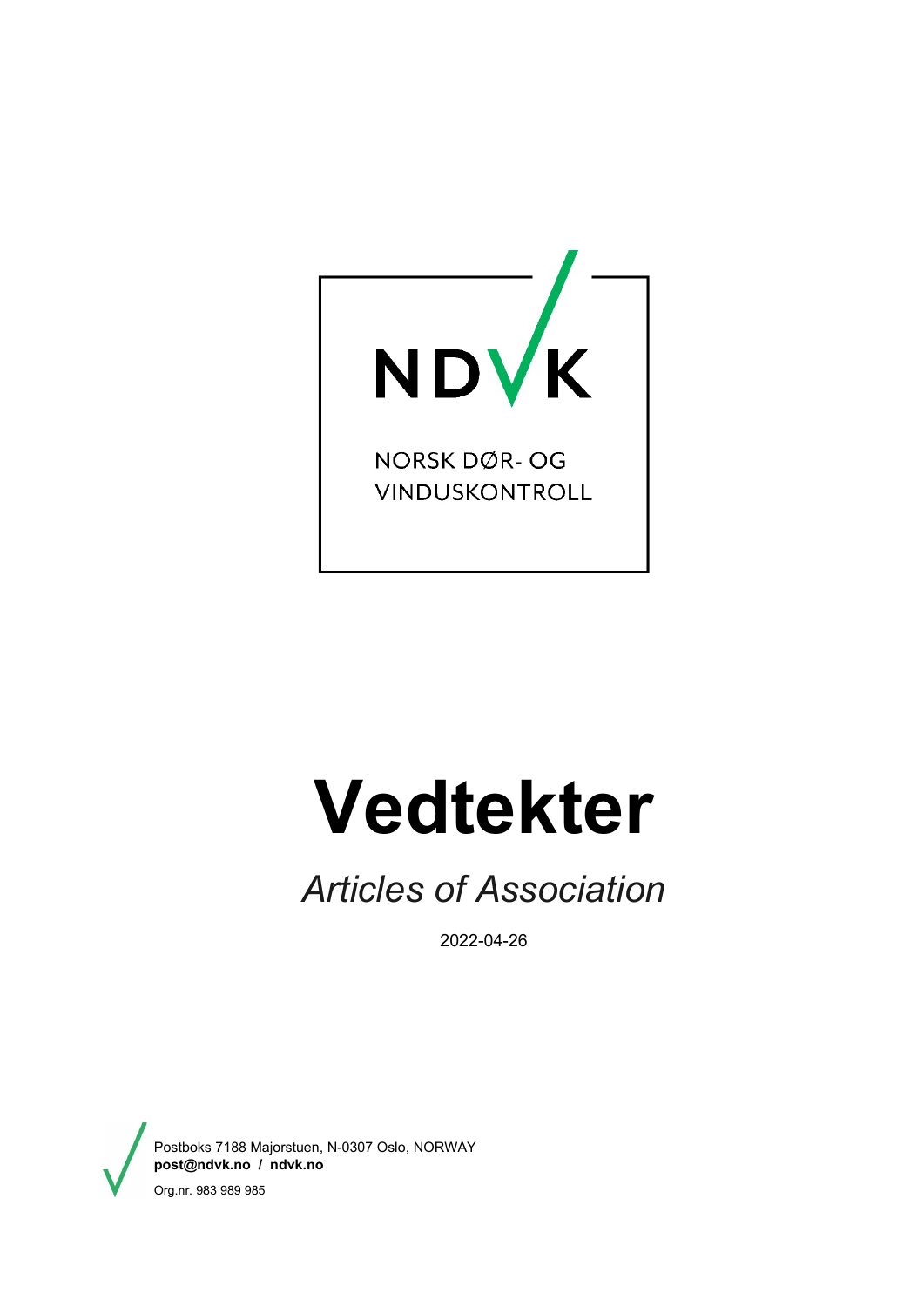

NORSK DØR- OG VINDUSKONTROLL

# **Vedtekter**

## *Articles of Association*

2022-04-26

Postboks 7188 Majorstuen, N-0307 Oslo, NORWAY **[post@ndvk.no](mailto:post@ndvk.no) / ndvk.no**  Org.nr. 983 989 985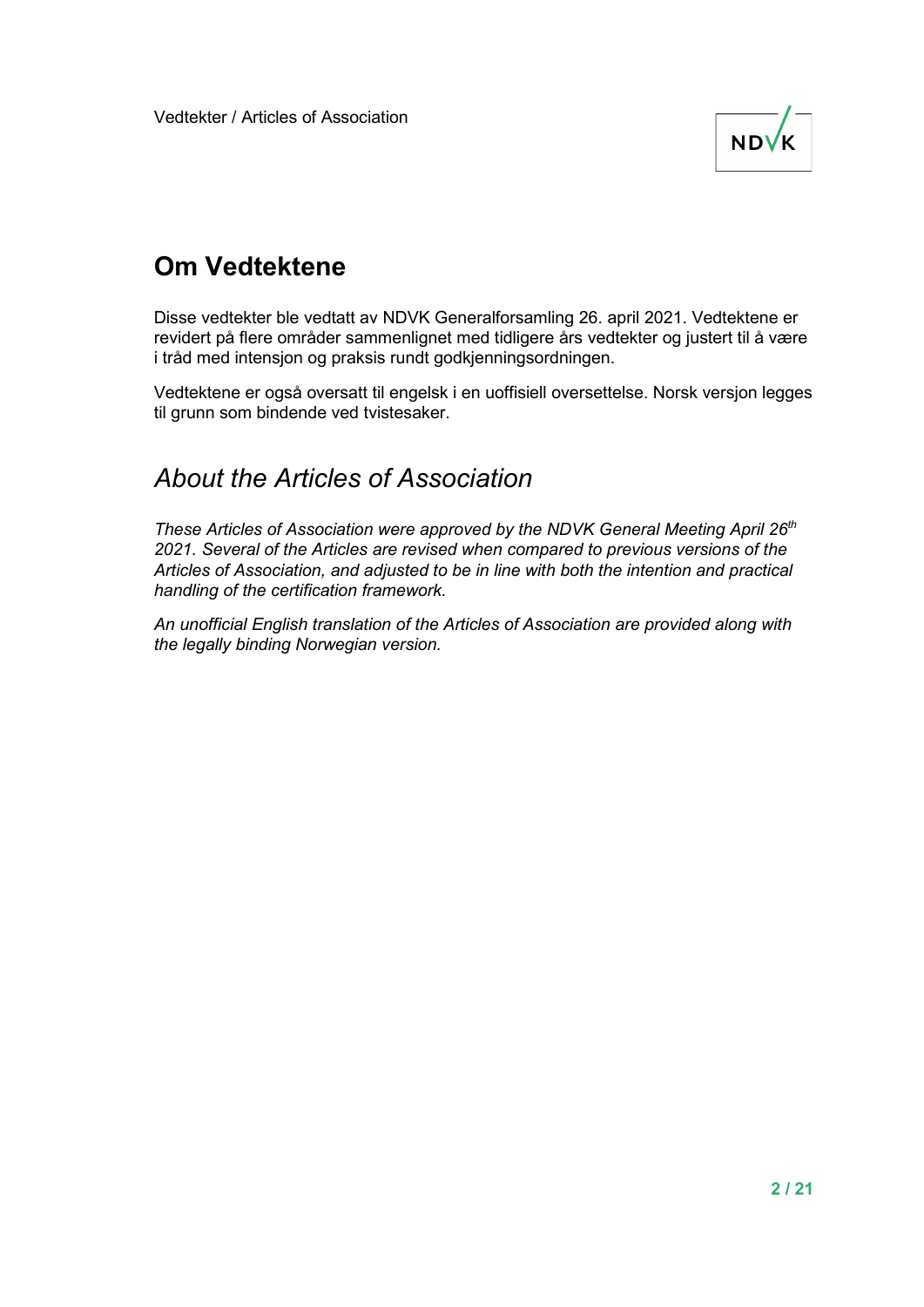

#### **Om Vedtektene**

Disse vedtekter ble vedtatt av NDVK Generalforsamling 26. april 2021. Vedtektene er revidert på flere områder sammenlignet med tidligere års vedtekter og justert til å være i tråd med intensjon og praksis rundt godkjenningsordningen.

Vedtektene er også oversatt til engelsk i en uoffisiell oversettelse. Norsk versjon legges til grunn som bindende ved tvistesaker.

#### *About the Articles of Association*

*These Articles of Association were approved by the NDVK General Meeting April 26th 2021. Several of the Articles are revised when compared to previous versions of the Articles of Association, and adjusted to be in line with both the intention and practical handling of the certification framework.* 

*An unofficial English translation of the Articles of Association are provided along with the legally binding Norwegian version.*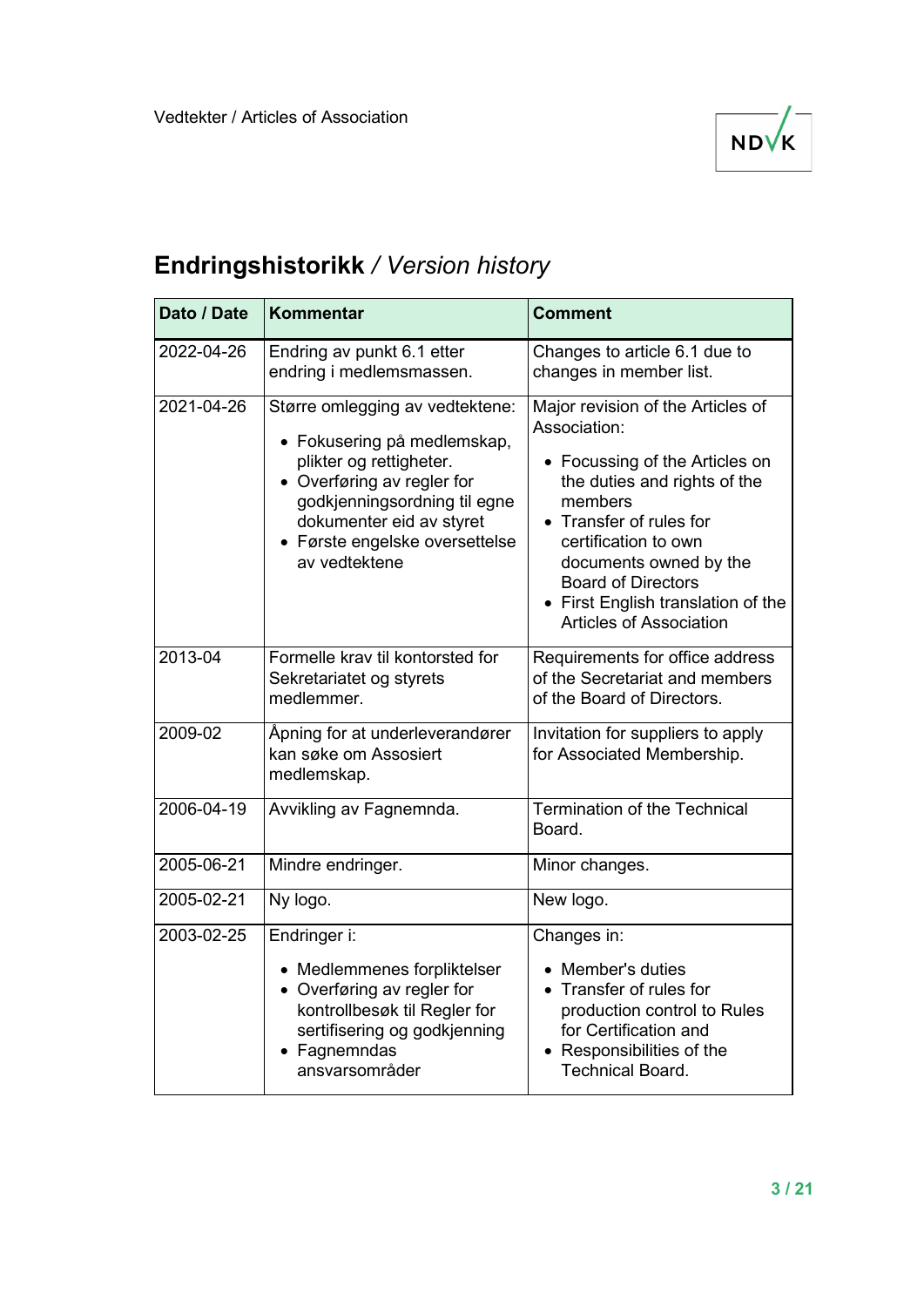

#### **Endringshistorikk** */ Version history*

| Dato / Date      | Kommentar                                                                                                                                                                                                                              | <b>Comment</b>                                                                                                                                                                                                                                                                                                   |
|------------------|----------------------------------------------------------------------------------------------------------------------------------------------------------------------------------------------------------------------------------------|------------------------------------------------------------------------------------------------------------------------------------------------------------------------------------------------------------------------------------------------------------------------------------------------------------------|
| 2022-04-26       | Endring av punkt 6.1 etter<br>endring i medlemsmassen.                                                                                                                                                                                 | Changes to article 6.1 due to<br>changes in member list.                                                                                                                                                                                                                                                         |
| $2021 - 04 - 26$ | Større omlegging av vedtektene:<br>• Fokusering på medlemskap,<br>plikter og rettigheter.<br>• Overføring av regler for<br>godkjenningsordning til egne<br>dokumenter eid av styret<br>• Første engelske oversettelse<br>av vedtektene | Major revision of the Articles of<br>Association:<br>• Focussing of the Articles on<br>the duties and rights of the<br>members<br>• Transfer of rules for<br>certification to own<br>documents owned by the<br><b>Board of Directors</b><br>• First English translation of the<br><b>Articles of Association</b> |
| 2013-04          | Formelle krav til kontorsted for<br>Sekretariatet og styrets<br>medlemmer.                                                                                                                                                             | Requirements for office address<br>of the Secretariat and members<br>of the Board of Directors.                                                                                                                                                                                                                  |
| 2009-02          | Åpning for at underleverandører<br>kan søke om Assosiert<br>medlemskap.                                                                                                                                                                | Invitation for suppliers to apply<br>for Associated Membership.                                                                                                                                                                                                                                                  |
| 2006-04-19       | Avvikling av Fagnemnda.                                                                                                                                                                                                                | <b>Termination of the Technical</b><br>Board.                                                                                                                                                                                                                                                                    |
| 2005-06-21       | Mindre endringer.                                                                                                                                                                                                                      | Minor changes.                                                                                                                                                                                                                                                                                                   |
| 2005-02-21       | Ny logo.                                                                                                                                                                                                                               | New logo.                                                                                                                                                                                                                                                                                                        |
| 2003-02-25       | Endringer i:<br>• Medlemmenes forpliktelser<br>• Overføring av regler for<br>kontrollbesøk til Regler for<br>sertifisering og godkjenning<br>• Fagnemndas<br>ansvarsområder                                                            | Changes in:<br>• Member's duties<br>• Transfer of rules for<br>production control to Rules<br>for Certification and<br>• Responsibilities of the<br><b>Technical Board.</b>                                                                                                                                      |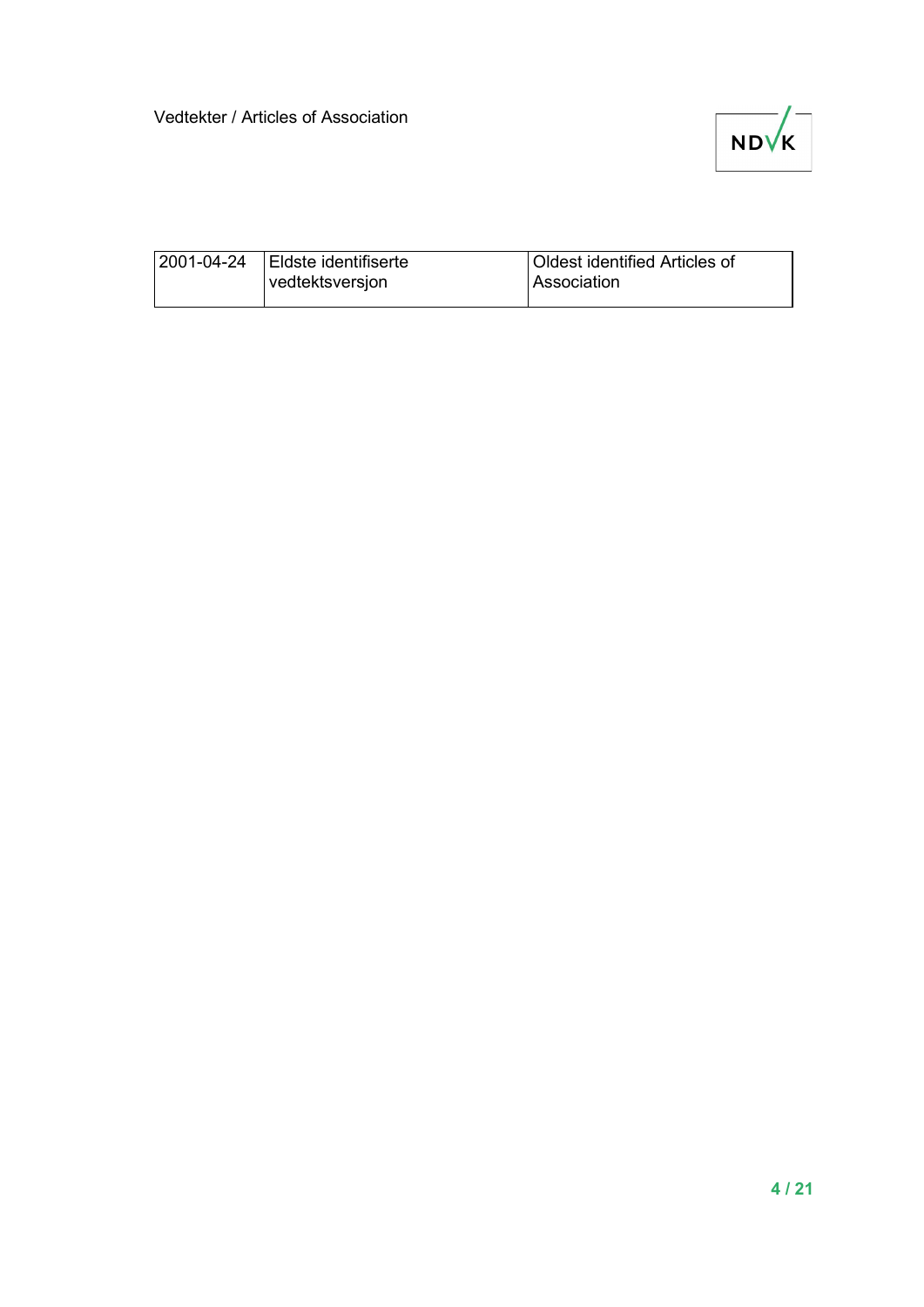

| 2001-04-24 | Eldste identifiserte | <b>Oldest identified Articles of</b> |
|------------|----------------------|--------------------------------------|
|            | vedtektsversjon      | l Association                        |
|            |                      |                                      |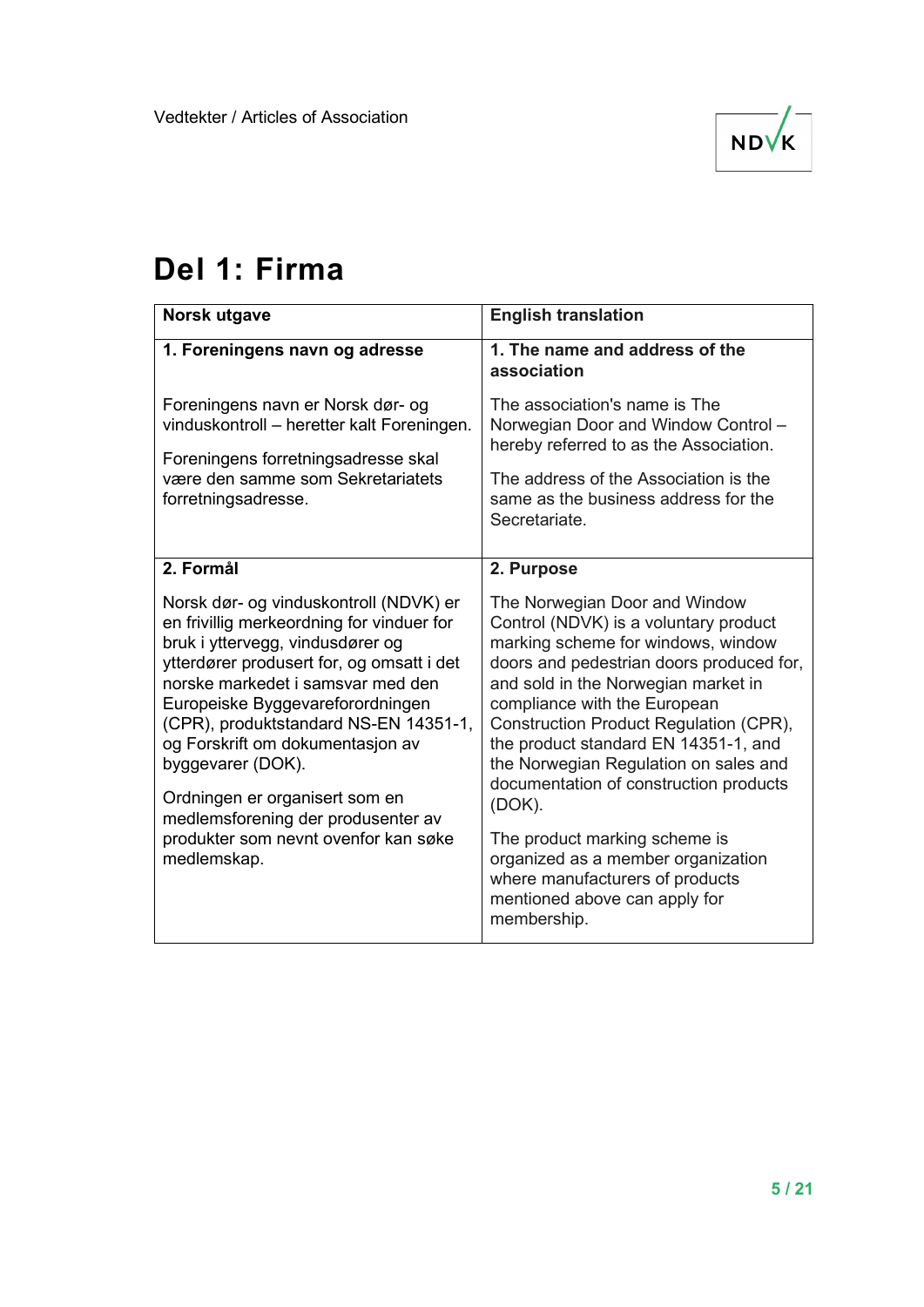

### **Del 1: Firma**

| Norsk utgave                                                                                                                                                                                                                                                                                                                                                                                                                                                                   | <b>English translation</b>                                                                                                                                                                                                                                                                                                                                                                                                                                                                                                                                               |
|--------------------------------------------------------------------------------------------------------------------------------------------------------------------------------------------------------------------------------------------------------------------------------------------------------------------------------------------------------------------------------------------------------------------------------------------------------------------------------|--------------------------------------------------------------------------------------------------------------------------------------------------------------------------------------------------------------------------------------------------------------------------------------------------------------------------------------------------------------------------------------------------------------------------------------------------------------------------------------------------------------------------------------------------------------------------|
| 1. Foreningens navn og adresse                                                                                                                                                                                                                                                                                                                                                                                                                                                 | 1. The name and address of the<br>association                                                                                                                                                                                                                                                                                                                                                                                                                                                                                                                            |
| Foreningens navn er Norsk dør- og<br>vinduskontroll - heretter kalt Foreningen.<br>Foreningens forretningsadresse skal<br>være den samme som Sekretariatets<br>forretningsadresse.                                                                                                                                                                                                                                                                                             | The association's name is The<br>Norwegian Door and Window Control -<br>hereby referred to as the Association.<br>The address of the Association is the<br>same as the business address for the<br>Secretariate.                                                                                                                                                                                                                                                                                                                                                         |
| 2. Formål                                                                                                                                                                                                                                                                                                                                                                                                                                                                      | 2. Purpose                                                                                                                                                                                                                                                                                                                                                                                                                                                                                                                                                               |
| Norsk dør- og vinduskontroll (NDVK) er<br>en frivillig merkeordning for vinduer for<br>bruk i yttervegg, vindusdører og<br>ytterdører produsert for, og omsatt i det<br>norske markedet i samsvar med den<br>Europeiske Byggevareforordningen<br>(CPR), produktstandard NS-EN 14351-1,<br>og Forskrift om dokumentasjon av<br>byggevarer (DOK).<br>Ordningen er organisert som en<br>medlemsforening der produsenter av<br>produkter som nevnt ovenfor kan søke<br>medlemskap. | The Norwegian Door and Window<br>Control (NDVK) is a voluntary product<br>marking scheme for windows, window<br>doors and pedestrian doors produced for,<br>and sold in the Norwegian market in<br>compliance with the European<br>Construction Product Regulation (CPR),<br>the product standard EN 14351-1, and<br>the Norwegian Regulation on sales and<br>documentation of construction products<br>(DOK).<br>The product marking scheme is<br>organized as a member organization<br>where manufacturers of products<br>mentioned above can apply for<br>membership. |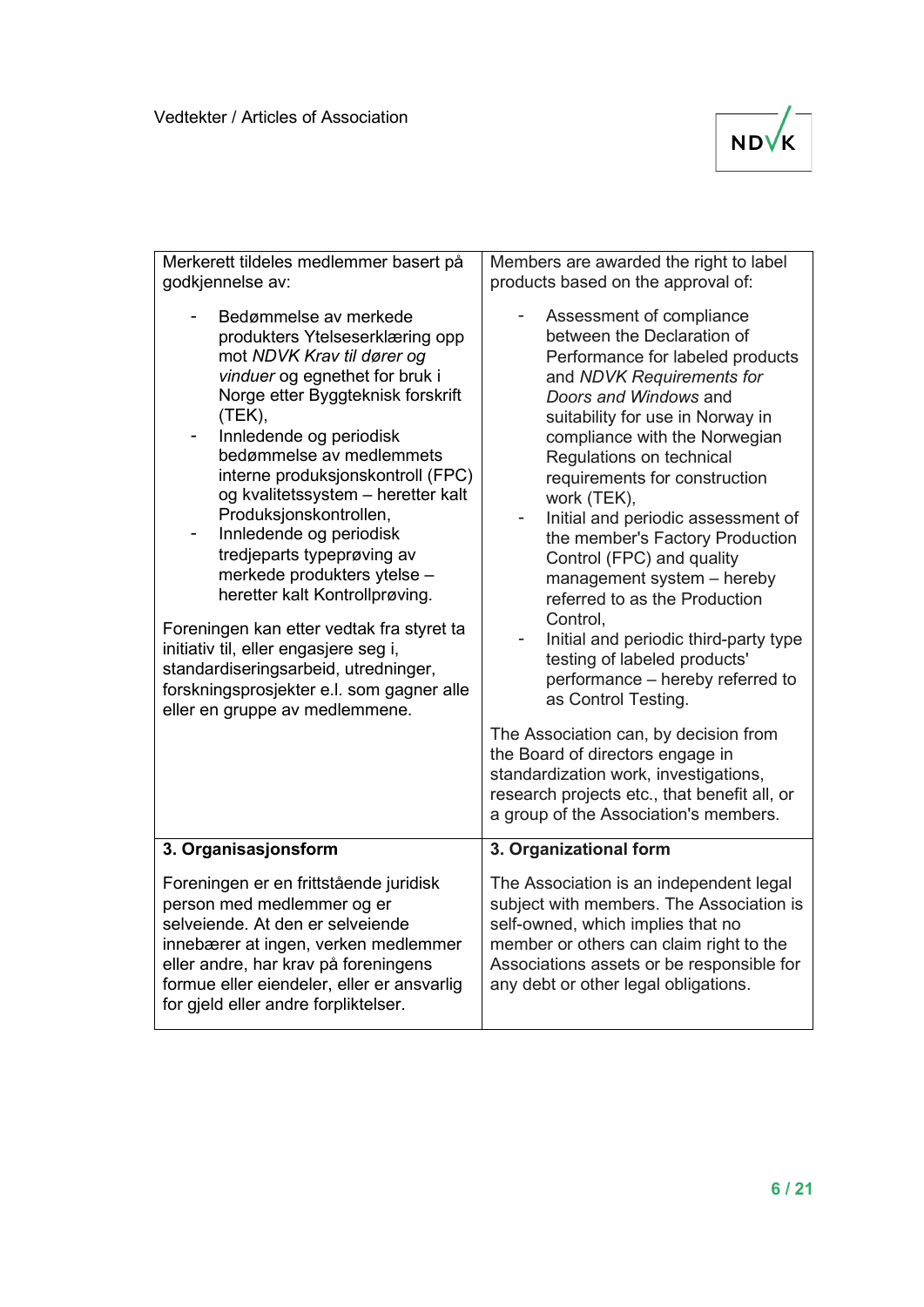

| Merkerett tildeles medlemmer basert på<br>godkjennelse av:                                                                                                                                                                                                                                                                                                                                                                                                                                                                                                                                                                                                                       | Members are awarded the right to label<br>products based on the approval of:                                                                                                                                                                                                                                                                                                                                                                                                                                                                                                                                                                       |
|----------------------------------------------------------------------------------------------------------------------------------------------------------------------------------------------------------------------------------------------------------------------------------------------------------------------------------------------------------------------------------------------------------------------------------------------------------------------------------------------------------------------------------------------------------------------------------------------------------------------------------------------------------------------------------|----------------------------------------------------------------------------------------------------------------------------------------------------------------------------------------------------------------------------------------------------------------------------------------------------------------------------------------------------------------------------------------------------------------------------------------------------------------------------------------------------------------------------------------------------------------------------------------------------------------------------------------------------|
| Bedømmelse av merkede<br>produkters Ytelseserklæring opp<br>mot NDVK Krav til dører og<br>vinduer og egnethet for bruk i<br>Norge etter Byggteknisk forskrift<br>(TEK),<br>Innledende og periodisk<br>۰,<br>bedømmelse av medlemmets<br>interne produksjonskontroll (FPC)<br>og kvalitetssystem - heretter kalt<br>Produksjonskontrollen,<br>Innledende og periodisk<br>tredjeparts typeprøving av<br>merkede produkters ytelse -<br>heretter kalt Kontrollprøving.<br>Foreningen kan etter vedtak fra styret ta<br>initiativ til, eller engasjere seg i,<br>standardiseringsarbeid, utredninger,<br>forskningsprosjekter e.l. som gagner alle<br>eller en gruppe av medlemmene. | Assessment of compliance<br>between the Declaration of<br>Performance for labeled products<br>and NDVK Requirements for<br>Doors and Windows and<br>suitability for use in Norway in<br>compliance with the Norwegian<br>Regulations on technical<br>requirements for construction<br>work (TEK),<br>Initial and periodic assessment of<br>$\overline{\phantom{0}}$<br>the member's Factory Production<br>Control (FPC) and quality<br>management system - hereby<br>referred to as the Production<br>Control.<br>Initial and periodic third-party type<br>testing of labeled products'<br>performance - hereby referred to<br>as Control Testing. |
|                                                                                                                                                                                                                                                                                                                                                                                                                                                                                                                                                                                                                                                                                  | The Association can, by decision from<br>the Board of directors engage in<br>standardization work, investigations,<br>research projects etc., that benefit all, or<br>a group of the Association's members.                                                                                                                                                                                                                                                                                                                                                                                                                                        |
| 3. Organisasjonsform                                                                                                                                                                                                                                                                                                                                                                                                                                                                                                                                                                                                                                                             | 3. Organizational form                                                                                                                                                                                                                                                                                                                                                                                                                                                                                                                                                                                                                             |
| Foreningen er en frittstående juridisk<br>person med medlemmer og er<br>selveiende. At den er selveiende<br>innebærer at ingen, verken medlemmer<br>eller andre, har krav på foreningens<br>formue eller eiendeler, eller er ansvarlig<br>for gjeld eller andre forpliktelser.                                                                                                                                                                                                                                                                                                                                                                                                   | The Association is an independent legal<br>subject with members. The Association is<br>self-owned, which implies that no<br>member or others can claim right to the<br>Associations assets or be responsible for<br>any debt or other legal obligations.                                                                                                                                                                                                                                                                                                                                                                                           |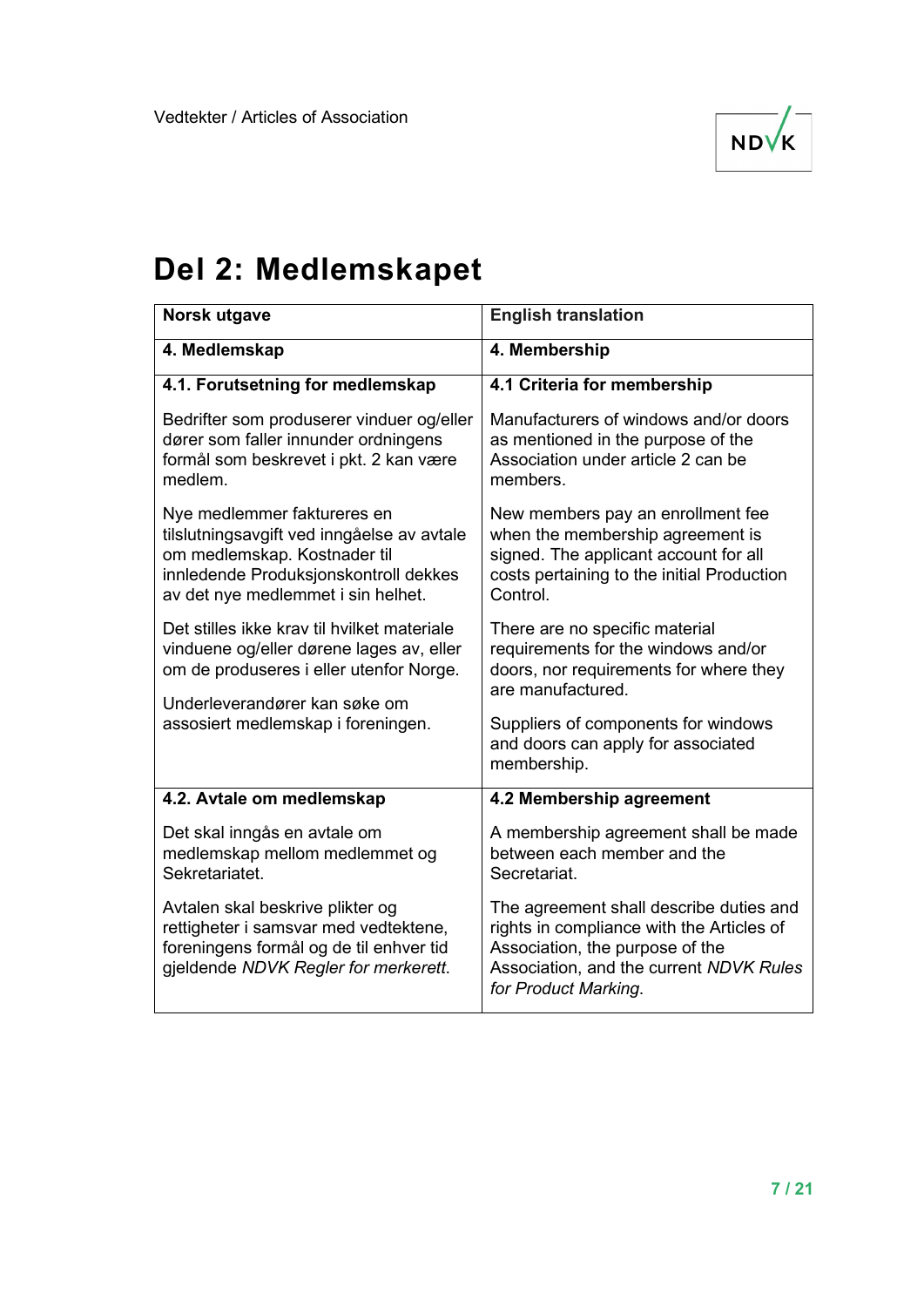

## **Del 2: Medlemskapet**

| Norsk utgave                                                                                                                                                                             | <b>English translation</b>                                                                                                                                                                 |
|------------------------------------------------------------------------------------------------------------------------------------------------------------------------------------------|--------------------------------------------------------------------------------------------------------------------------------------------------------------------------------------------|
| 4. Medlemskap                                                                                                                                                                            | 4. Membership                                                                                                                                                                              |
| 4.1. Forutsetning for medlemskap                                                                                                                                                         | 4.1 Criteria for membership                                                                                                                                                                |
| Bedrifter som produserer vinduer og/eller<br>dører som faller innunder ordningens<br>formål som beskrevet i pkt. 2 kan være<br>medlem.                                                   | Manufacturers of windows and/or doors<br>as mentioned in the purpose of the<br>Association under article 2 can be<br>members.                                                              |
| Nye medlemmer faktureres en<br>tilslutningsavgift ved inngåelse av avtale<br>om medlemskap. Kostnader til<br>innledende Produksjonskontroll dekkes<br>av det nye medlemmet i sin helhet. | New members pay an enrollment fee<br>when the membership agreement is<br>signed. The applicant account for all<br>costs pertaining to the initial Production<br>Control.                   |
| Det stilles ikke krav til hvilket materiale<br>vinduene og/eller dørene lages av, eller<br>om de produseres i eller utenfor Norge.                                                       | There are no specific material<br>requirements for the windows and/or<br>doors, nor requirements for where they<br>are manufactured.                                                       |
| Underleverandører kan søke om<br>assosiert medlemskap i foreningen.                                                                                                                      | Suppliers of components for windows<br>and doors can apply for associated<br>membership.                                                                                                   |
| 4.2. Avtale om medlemskap                                                                                                                                                                | 4.2 Membership agreement                                                                                                                                                                   |
| Det skal inngås en avtale om<br>medlemskap mellom medlemmet og<br>Sekretariatet.                                                                                                         | A membership agreement shall be made<br>between each member and the<br>Secretariat.                                                                                                        |
| Avtalen skal beskrive plikter og<br>rettigheter i samsvar med vedtektene,<br>foreningens formål og de til enhver tid<br>gjeldende NDVK Regler for merkerett.                             | The agreement shall describe duties and<br>rights in compliance with the Articles of<br>Association, the purpose of the<br>Association, and the current NDVK Rules<br>for Product Marking. |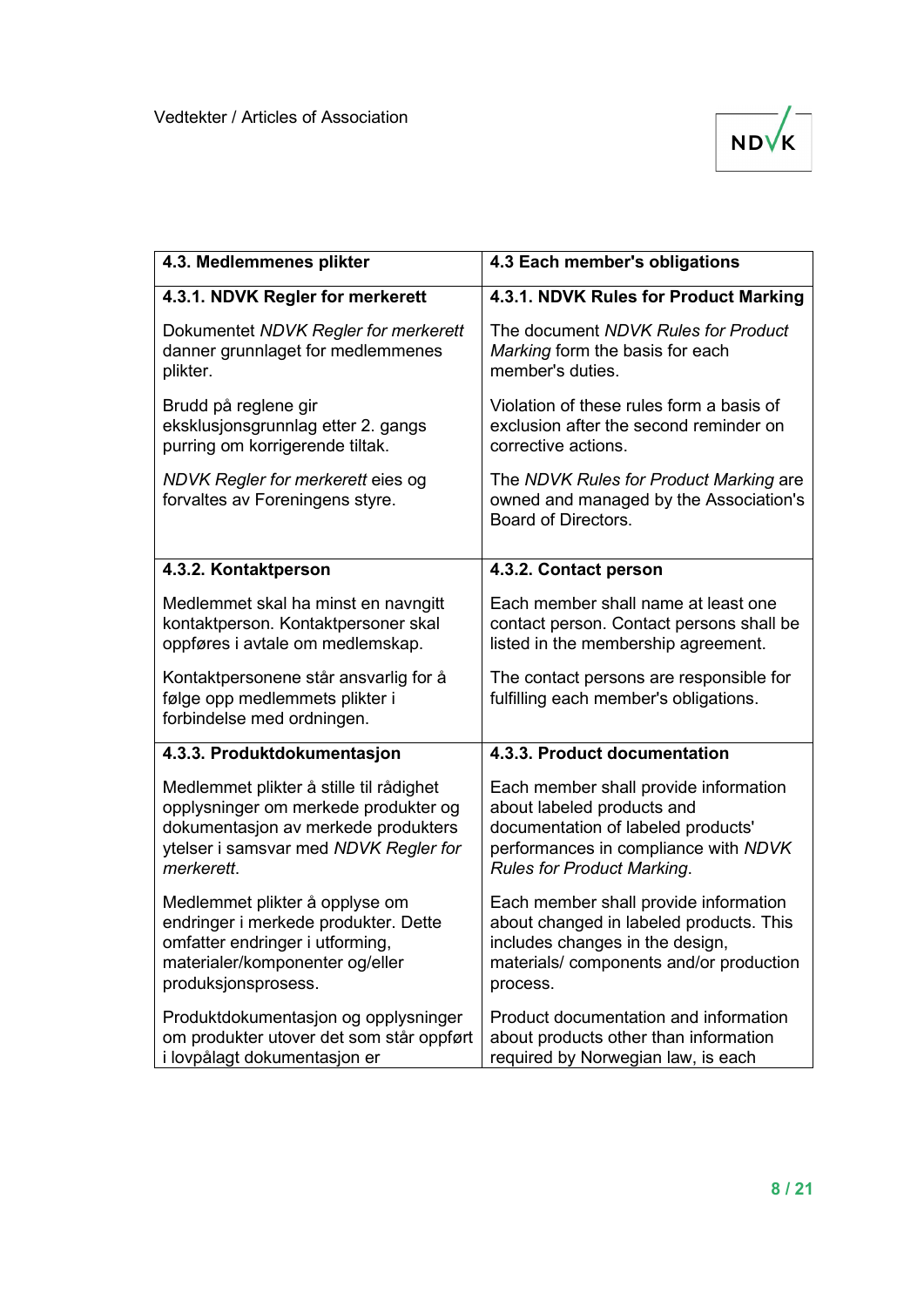

| 4.3. Medlemmenes plikter                                                                              | 4.3 Each member's obligations                                                                           |
|-------------------------------------------------------------------------------------------------------|---------------------------------------------------------------------------------------------------------|
| 4.3.1. NDVK Regler for merkerett                                                                      | 4.3.1. NDVK Rules for Product Marking                                                                   |
| Dokumentet NDVK Regler for merkerett                                                                  | The document NDVK Rules for Product                                                                     |
| danner grunnlaget for medlemmenes                                                                     | Marking form the basis for each                                                                         |
| plikter.                                                                                              | member's duties.                                                                                        |
| Brudd på reglene gir                                                                                  | Violation of these rules form a basis of                                                                |
| eksklusjonsgrunnlag etter 2. gangs                                                                    | exclusion after the second reminder on                                                                  |
| purring om korrigerende tiltak.                                                                       | corrective actions.                                                                                     |
| NDVK Regler for merkerett eies og<br>forvaltes av Foreningens styre.                                  | The NDVK Rules for Product Marking are<br>owned and managed by the Association's<br>Board of Directors. |
| 4.3.2. Kontaktperson                                                                                  | 4.3.2. Contact person                                                                                   |
| Medlemmet skal ha minst en navngitt                                                                   | Each member shall name at least one                                                                     |
| kontaktperson. Kontaktpersoner skal                                                                   | contact person. Contact persons shall be                                                                |
| oppføres i avtale om medlemskap.                                                                      | listed in the membership agreement.                                                                     |
| Kontaktpersonene står ansvarlig for å<br>følge opp medlemmets plikter i<br>forbindelse med ordningen. | The contact persons are responsible for<br>fulfilling each member's obligations.                        |
| 4.3.3. Produktdokumentasjon                                                                           | 4.3.3. Product documentation                                                                            |
| Medlemmet plikter å stille til rådighet                                                               | Each member shall provide information                                                                   |
| opplysninger om merkede produkter og                                                                  | about labeled products and                                                                              |
| dokumentasjon av merkede produkters                                                                   | documentation of labeled products'                                                                      |
| ytelser i samsvar med NDVK Regler for                                                                 | performances in compliance with NDVK                                                                    |
| merkerett.                                                                                            | <b>Rules for Product Marking.</b>                                                                       |
| Medlemmet plikter å opplyse om                                                                        | Each member shall provide information                                                                   |
| endringer i merkede produkter. Dette                                                                  | about changed in labeled products. This                                                                 |
| omfatter endringer i utforming,                                                                       | includes changes in the design,                                                                         |
| materialer/komponenter og/eller                                                                       | materials/components and/or production                                                                  |
| produksjonsprosess.                                                                                   | process.                                                                                                |
| Produktdokumentasjon og opplysninger                                                                  | Product documentation and information                                                                   |
| om produkter utover det som står oppført                                                              | about products other than information                                                                   |
| i lovpålagt dokumentasjon er                                                                          | required by Norwegian law, is each                                                                      |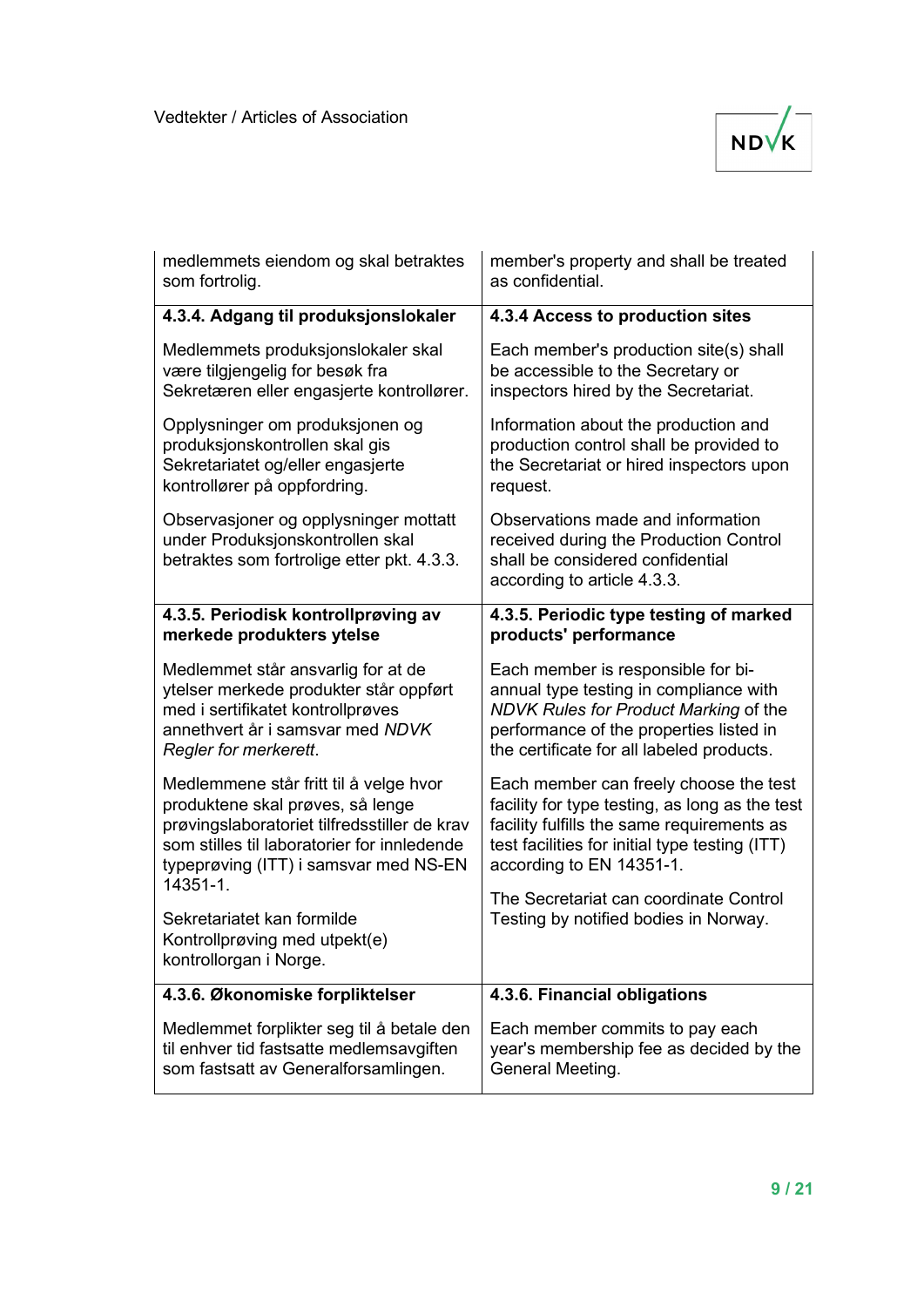

| medlemmets eiendom og skal betraktes                                                                                                                                                                                           | member's property and shall be treated                                                                                                                                                                               |
|--------------------------------------------------------------------------------------------------------------------------------------------------------------------------------------------------------------------------------|----------------------------------------------------------------------------------------------------------------------------------------------------------------------------------------------------------------------|
| som fortrolig.                                                                                                                                                                                                                 | as confidential.                                                                                                                                                                                                     |
| 4.3.4. Adgang til produksjonslokaler                                                                                                                                                                                           | 4.3.4 Access to production sites                                                                                                                                                                                     |
| Medlemmets produksjonslokaler skal                                                                                                                                                                                             | Each member's production site(s) shall                                                                                                                                                                               |
| være tilgjengelig for besøk fra                                                                                                                                                                                                | be accessible to the Secretary or                                                                                                                                                                                    |
| Sekretæren eller engasjerte kontrollører.                                                                                                                                                                                      | inspectors hired by the Secretariat.                                                                                                                                                                                 |
| Opplysninger om produksjonen og                                                                                                                                                                                                | Information about the production and                                                                                                                                                                                 |
| produksjonskontrollen skal gis                                                                                                                                                                                                 | production control shall be provided to                                                                                                                                                                              |
| Sekretariatet og/eller engasjerte                                                                                                                                                                                              | the Secretariat or hired inspectors upon                                                                                                                                                                             |
| kontrollører på oppfordring.                                                                                                                                                                                                   | request.                                                                                                                                                                                                             |
| Observasjoner og opplysninger mottatt<br>under Produksjonskontrollen skal<br>betraktes som fortrolige etter pkt. 4.3.3.                                                                                                        | Observations made and information<br>received during the Production Control<br>shall be considered confidential<br>according to article 4.3.3.                                                                       |
| 4.3.5. Periodisk kontrollprøving av                                                                                                                                                                                            | 4.3.5. Periodic type testing of marked                                                                                                                                                                               |
| merkede produkters ytelse                                                                                                                                                                                                      | products' performance                                                                                                                                                                                                |
| Medlemmet står ansvarlig for at de                                                                                                                                                                                             | Each member is responsible for bi-                                                                                                                                                                                   |
| ytelser merkede produkter står oppført                                                                                                                                                                                         | annual type testing in compliance with                                                                                                                                                                               |
| med i sertifikatet kontrollprøves                                                                                                                                                                                              | NDVK Rules for Product Marking of the                                                                                                                                                                                |
| annethvert år i samsvar med NDVK                                                                                                                                                                                               | performance of the properties listed in                                                                                                                                                                              |
| Regler for merkerett.                                                                                                                                                                                                          | the certificate for all labeled products.                                                                                                                                                                            |
| Medlemmene står fritt til å velge hvor<br>produktene skal prøves, så lenge<br>prøvingslaboratoriet tilfredsstiller de krav<br>som stilles til laboratorier for innledende<br>typeprøving (ITT) i samsvar med NS-EN<br>14351-1. | Each member can freely choose the test<br>facility for type testing, as long as the test<br>facility fulfills the same requirements as<br>test facilities for initial type testing (ITT)<br>according to EN 14351-1. |
| Sekretariatet kan formilde<br>Kontrollprøving med utpekt(e)<br>kontrollorgan i Norge.                                                                                                                                          | The Secretariat can coordinate Control<br>Testing by notified bodies in Norway.                                                                                                                                      |
| 4.3.6. Økonomiske forpliktelser                                                                                                                                                                                                | 4.3.6. Financial obligations                                                                                                                                                                                         |
| Medlemmet forplikter seg til å betale den                                                                                                                                                                                      | Each member commits to pay each                                                                                                                                                                                      |
| til enhver tid fastsatte medlemsavgiften                                                                                                                                                                                       | year's membership fee as decided by the                                                                                                                                                                              |
| som fastsatt av Generalforsamlingen.                                                                                                                                                                                           | General Meeting.                                                                                                                                                                                                     |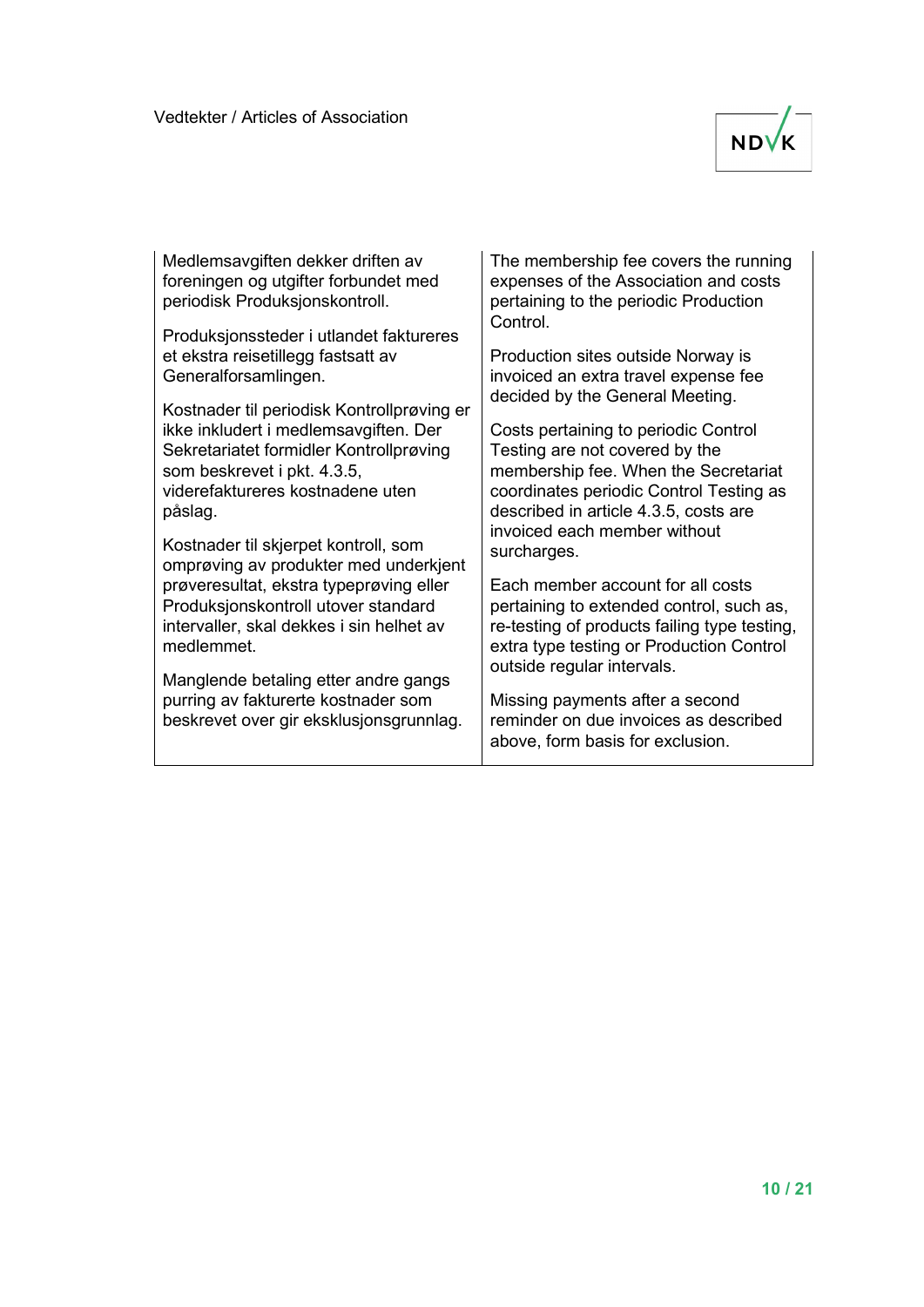

Medlemsavgiften dekker driften av foreningen og utgifter forbundet med periodisk Produksjonskontroll.

Produksjonssteder i utlandet faktureres et ekstra reisetillegg fastsatt av Generalforsamlingen.

Kostnader til periodisk Kontrollprøving er ikke inkludert i medlemsavgiften. Der Sekretariatet formidler Kontrollprøving som beskrevet i pkt. 4.3.5, viderefaktureres kostnadene uten påslag.

Kostnader til skjerpet kontroll, som omprøving av produkter med underkjent prøveresultat, ekstra typeprøving eller Produksjonskontroll utover standard intervaller, skal dekkes i sin helhet av medlemmet.

Manglende betaling etter andre gangs purring av fakturerte kostnader som beskrevet over gir eksklusjonsgrunnlag. The membership fee covers the running expenses of the Association and costs pertaining to the periodic Production Control.

Production sites outside Norway is invoiced an extra travel expense fee decided by the General Meeting.

Costs pertaining to periodic Control Testing are not covered by the membership fee. When the Secretariat coordinates periodic Control Testing as described in article 4.3.5, costs are invoiced each member without surcharges.

Each member account for all costs pertaining to extended control, such as, re-testing of products failing type testing, extra type testing or Production Control outside regular intervals.

Missing payments after a second reminder on due invoices as described above, form basis for exclusion.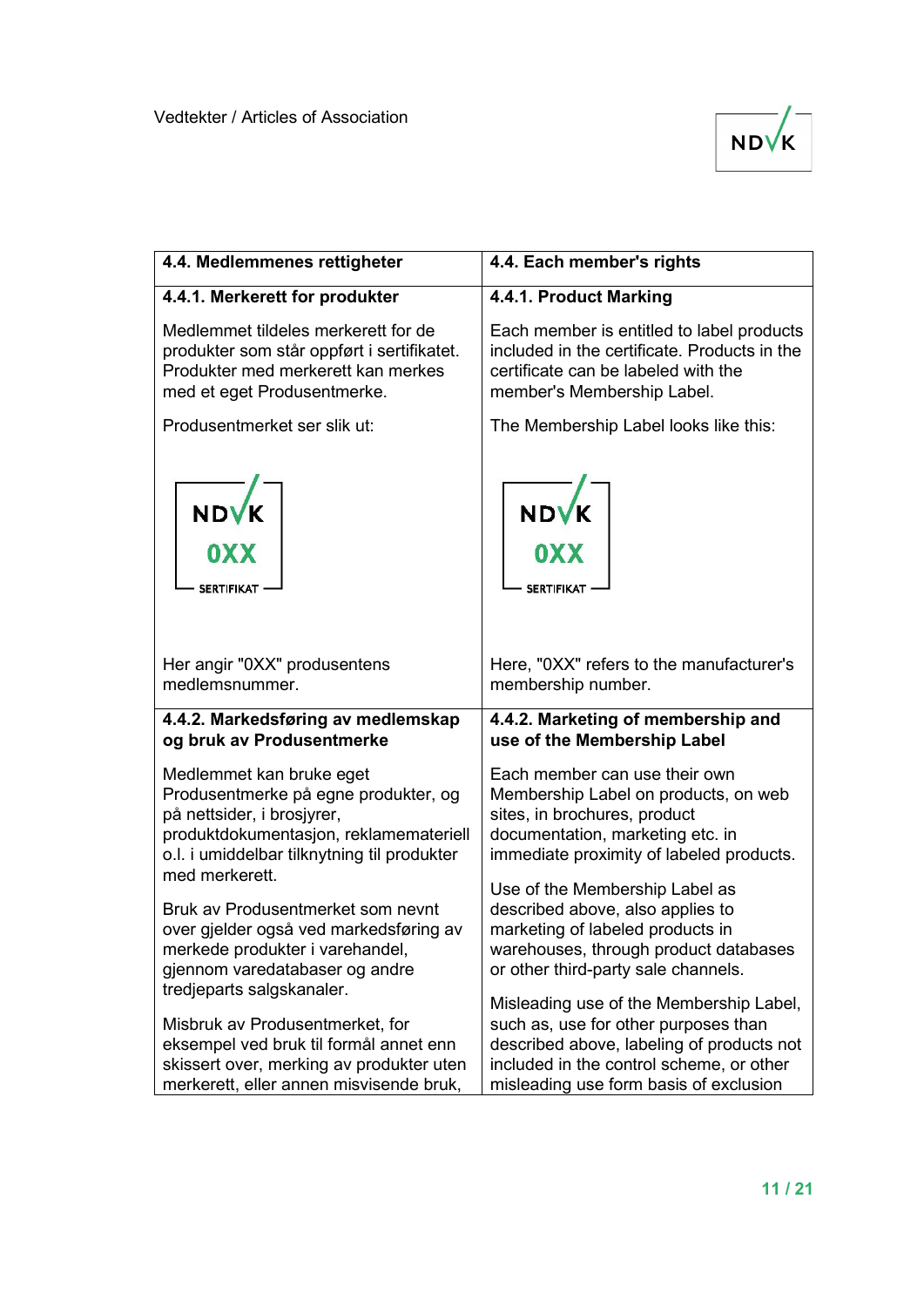

| 4.4. Medlemmenes rettigheter                                                                                                                                                  | 4.4. Each member's rights                                                                                                                                                                                          |
|-------------------------------------------------------------------------------------------------------------------------------------------------------------------------------|--------------------------------------------------------------------------------------------------------------------------------------------------------------------------------------------------------------------|
| 4.4.1. Merkerett for produkter                                                                                                                                                | 4.4.1. Product Marking                                                                                                                                                                                             |
| Medlemmet tildeles merkerett for de                                                                                                                                           | Each member is entitled to label products                                                                                                                                                                          |
| produkter som står oppført i sertifikatet.                                                                                                                                    | included in the certificate. Products in the                                                                                                                                                                       |
| Produkter med merkerett kan merkes                                                                                                                                            | certificate can be labeled with the                                                                                                                                                                                |
| med et eget Produsentmerke.                                                                                                                                                   | member's Membership Label.                                                                                                                                                                                         |
| Produsentmerket ser slik ut:                                                                                                                                                  | The Membership Label looks like this:                                                                                                                                                                              |
| NDVK<br>0XX                                                                                                                                                                   | NDVK<br>0XX                                                                                                                                                                                                        |
| <b>SERTIFIKAT</b>                                                                                                                                                             | <b>SERTIFIKAT</b>                                                                                                                                                                                                  |
| Her angir "0XX" produsentens                                                                                                                                                  | Here, "0XX" refers to the manufacturer's                                                                                                                                                                           |
| medlemsnummer.                                                                                                                                                                | membership number.                                                                                                                                                                                                 |
| 4.4.2. Markedsføring av medlemskap                                                                                                                                            | 4.4.2. Marketing of membership and                                                                                                                                                                                 |
| og bruk av Produsentmerke                                                                                                                                                     | use of the Membership Label                                                                                                                                                                                        |
| Medlemmet kan bruke eget                                                                                                                                                      | Each member can use their own                                                                                                                                                                                      |
| Produsentmerke på egne produkter, og                                                                                                                                          | Membership Label on products, on web                                                                                                                                                                               |
| på nettsider, i brosjyrer,                                                                                                                                                    | sites, in brochures, product                                                                                                                                                                                       |
| produktdokumentasjon, reklamemateriell                                                                                                                                        | documentation, marketing etc. in                                                                                                                                                                                   |
| o.l. i umiddelbar tilknytning til produkter                                                                                                                                   | immediate proximity of labeled products.                                                                                                                                                                           |
| med merkerett.                                                                                                                                                                | Use of the Membership Label as                                                                                                                                                                                     |
| Bruk av Produsentmerket som nevnt<br>over gjelder også ved markedsføring av<br>merkede produkter i varehandel,<br>gjennom varedatabaser og andre<br>tredjeparts salgskanaler. | described above, also applies to<br>marketing of labeled products in<br>warehouses, through product databases<br>or other third-party sale channels.                                                               |
| Misbruk av Produsentmerket, for<br>eksempel ved bruk til formål annet enn<br>skissert over, merking av produkter uten<br>merkerett, eller annen misvisende bruk,              | Misleading use of the Membership Label,<br>such as, use for other purposes than<br>described above, labeling of products not<br>included in the control scheme, or other<br>misleading use form basis of exclusion |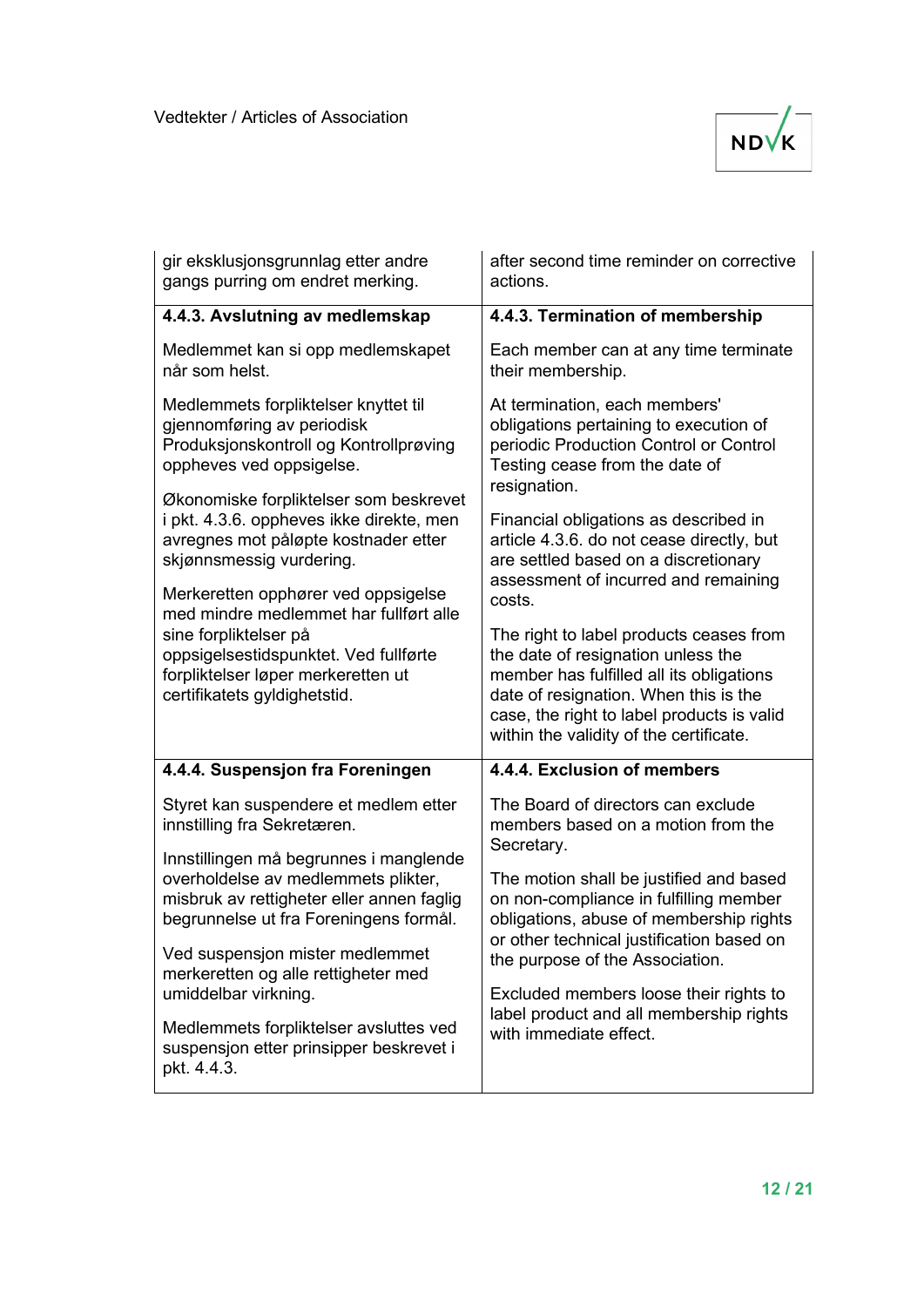

| gir eksklusjonsgrunnlag etter andre<br>gangs purring om endret merking.                                                                                                                                               | after second time reminder on corrective<br>actions.                                                                                                                                                                                                                  |
|-----------------------------------------------------------------------------------------------------------------------------------------------------------------------------------------------------------------------|-----------------------------------------------------------------------------------------------------------------------------------------------------------------------------------------------------------------------------------------------------------------------|
| 4.4.3. Avslutning av medlemskap                                                                                                                                                                                       | 4.4.3. Termination of membership                                                                                                                                                                                                                                      |
| Medlemmet kan si opp medlemskapet<br>når som helst.                                                                                                                                                                   | Each member can at any time terminate<br>their membership.                                                                                                                                                                                                            |
| Medlemmets forpliktelser knyttet til<br>gjennomføring av periodisk<br>Produksjonskontroll og Kontrollprøving<br>oppheves ved oppsigelse.                                                                              | At termination, each members'<br>obligations pertaining to execution of<br>periodic Production Control or Control<br>Testing cease from the date of                                                                                                                   |
| Økonomiske forpliktelser som beskrevet<br>i pkt. 4.3.6. oppheves ikke direkte, men<br>avregnes mot påløpte kostnader etter<br>skjønnsmessig vurdering.                                                                | resignation.<br>Financial obligations as described in<br>article 4.3.6. do not cease directly, but<br>are settled based on a discretionary<br>assessment of incurred and remaining                                                                                    |
| Merkeretten opphører ved oppsigelse<br>med mindre medlemmet har fullført alle<br>sine forpliktelser på<br>oppsigelsestidspunktet. Ved fullførte<br>forpliktelser løper merkeretten ut<br>certifikatets gyldighetstid. | costs.<br>The right to label products ceases from<br>the date of resignation unless the<br>member has fulfilled all its obligations<br>date of resignation. When this is the<br>case, the right to label products is valid<br>within the validity of the certificate. |
| 4.4.4. Suspensjon fra Foreningen                                                                                                                                                                                      | 4.4.4. Exclusion of members                                                                                                                                                                                                                                           |
| Styret kan suspendere et medlem etter<br>innstilling fra Sekretæren.                                                                                                                                                  | The Board of directors can exclude<br>members based on a motion from the<br>Secretary.                                                                                                                                                                                |
| Innstillingen må begrunnes i manglende<br>overholdelse av medlemmets plikter,<br>misbruk av rettigheter eller annen faglig<br>begrunnelse ut fra Foreningens formål.                                                  | The motion shall be justified and based<br>on non-compliance in fulfilling member<br>obligations, abuse of membership rights                                                                                                                                          |
| Ved suspensjon mister medlemmet<br>merkeretten og alle rettigheter med<br>umiddelbar virkning.                                                                                                                        | or other technical justification based on<br>the purpose of the Association.<br>Excluded members loose their rights to                                                                                                                                                |
| Medlemmets forpliktelser avsluttes ved<br>suspensjon etter prinsipper beskrevet i<br>pkt. 4.4.3.                                                                                                                      | label product and all membership rights<br>with immediate effect.                                                                                                                                                                                                     |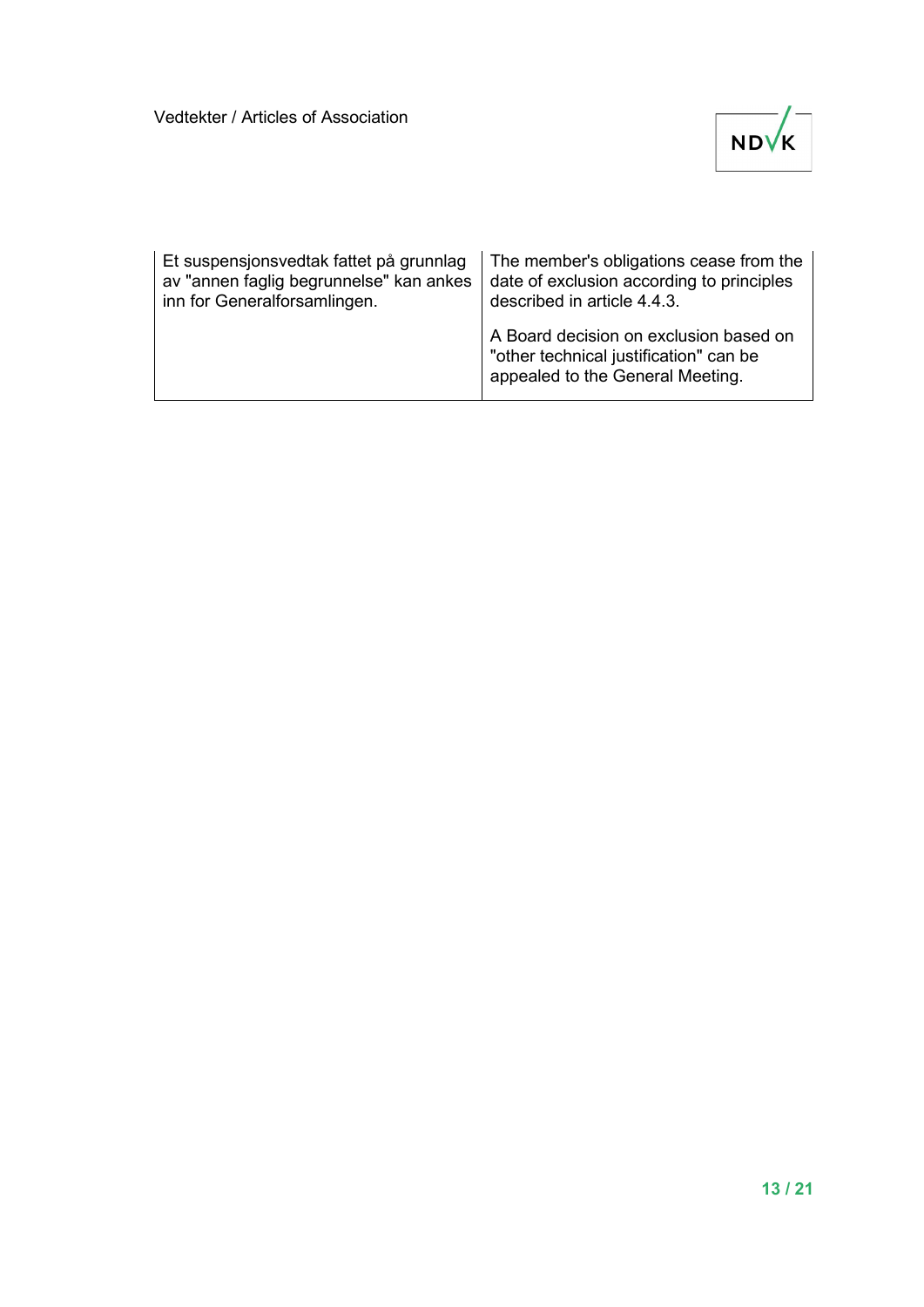

| Et suspensjonsvedtak fattet på grunnlag | The member's obligations cease from the                                                                              |
|-----------------------------------------|----------------------------------------------------------------------------------------------------------------------|
| av "annen faglig begrunnelse" kan ankes | date of exclusion according to principles                                                                            |
| inn for Generalforsamlingen.            | described in article 4.4.3.                                                                                          |
|                                         | A Board decision on exclusion based on<br>"other technical justification" can be<br>appealed to the General Meeting. |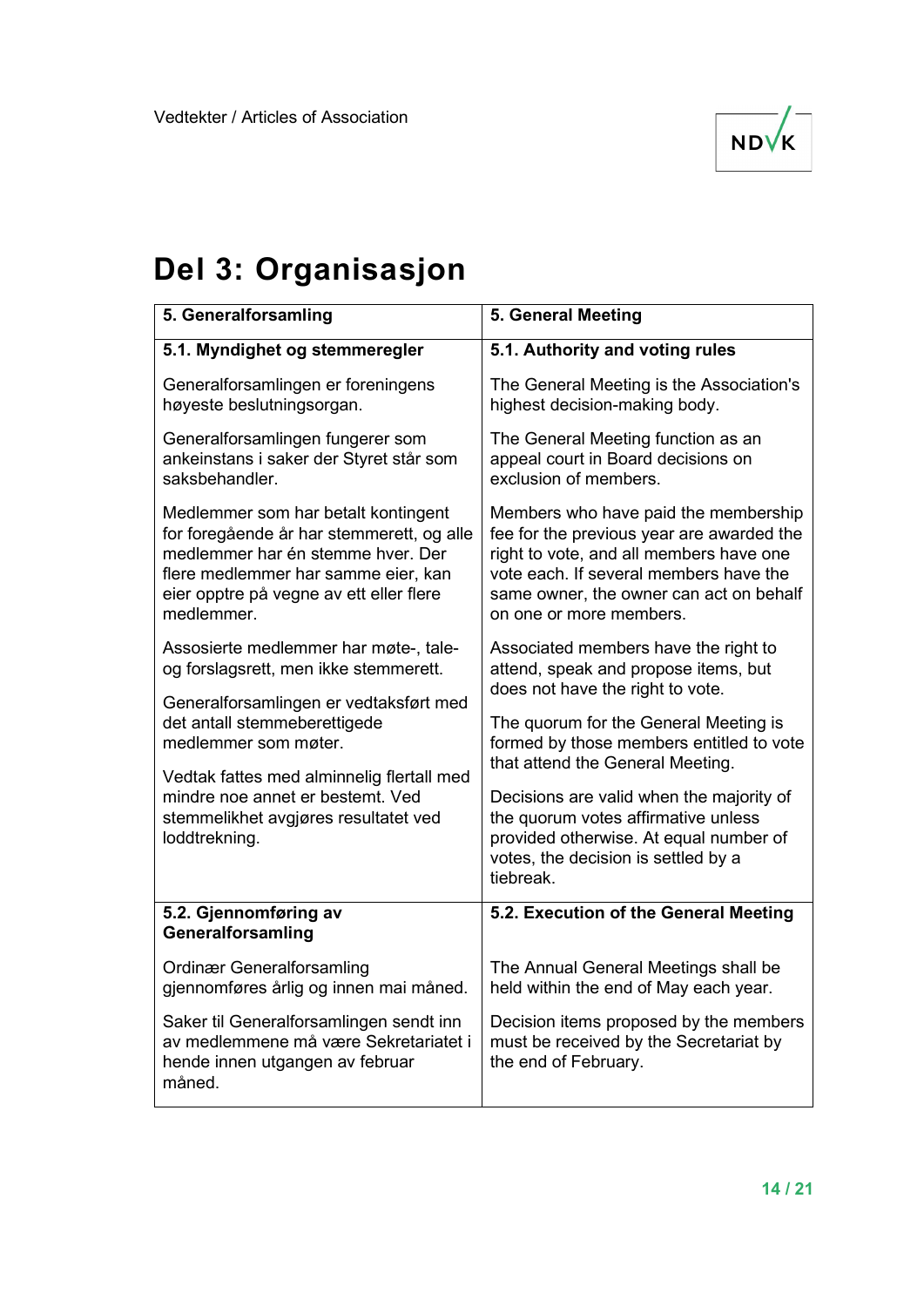

## **Del 3: Organisasjon**

| 5. Generalforsamling                                                                                                                                                                                                  | 5. General Meeting                                                                                                                                                                                                                           |
|-----------------------------------------------------------------------------------------------------------------------------------------------------------------------------------------------------------------------|----------------------------------------------------------------------------------------------------------------------------------------------------------------------------------------------------------------------------------------------|
| 5.1. Myndighet og stemmeregler                                                                                                                                                                                        | 5.1. Authority and voting rules                                                                                                                                                                                                              |
| Generalforsamlingen er foreningens<br>høyeste beslutningsorgan.                                                                                                                                                       | The General Meeting is the Association's<br>highest decision-making body.                                                                                                                                                                    |
| Generalforsamlingen fungerer som<br>ankeinstans i saker der Styret står som<br>saksbehandler.                                                                                                                         | The General Meeting function as an<br>appeal court in Board decisions on<br>exclusion of members.                                                                                                                                            |
| Medlemmer som har betalt kontingent<br>for foregående år har stemmerett, og alle<br>medlemmer har én stemme hver. Der<br>flere medlemmer har samme eier, kan<br>eier opptre på vegne av ett eller flere<br>medlemmer. | Members who have paid the membership<br>fee for the previous year are awarded the<br>right to vote, and all members have one<br>vote each. If several members have the<br>same owner, the owner can act on behalf<br>on one or more members. |
| Assosierte medlemmer har møte-, tale-<br>og forslagsrett, men ikke stemmerett.                                                                                                                                        | Associated members have the right to<br>attend, speak and propose items, but<br>does not have the right to vote.                                                                                                                             |
| Generalforsamlingen er vedtaksført med<br>det antall stemmeberettigede<br>medlemmer som møter.                                                                                                                        | The quorum for the General Meeting is<br>formed by those members entitled to vote<br>that attend the General Meeting.                                                                                                                        |
| Vedtak fattes med alminnelig flertall med<br>mindre noe annet er bestemt. Ved<br>stemmelikhet avgjøres resultatet ved<br>loddtrekning.                                                                                | Decisions are valid when the majority of<br>the quorum votes affirmative unless<br>provided otherwise. At equal number of<br>votes, the decision is settled by a<br>tiebreak.                                                                |
| 5.2. Gjennomføring av<br>Generalforsamling                                                                                                                                                                            | 5.2. Execution of the General Meeting                                                                                                                                                                                                        |
| <b>Ordinær Generalforsamling</b><br>gjennomføres årlig og innen mai måned.                                                                                                                                            | The Annual General Meetings shall be<br>held within the end of May each year.                                                                                                                                                                |
| Saker til Generalforsamlingen sendt inn<br>av medlemmene må være Sekretariatet i<br>hende innen utgangen av februar<br>måned.                                                                                         | Decision items proposed by the members<br>must be received by the Secretariat by<br>the end of February.                                                                                                                                     |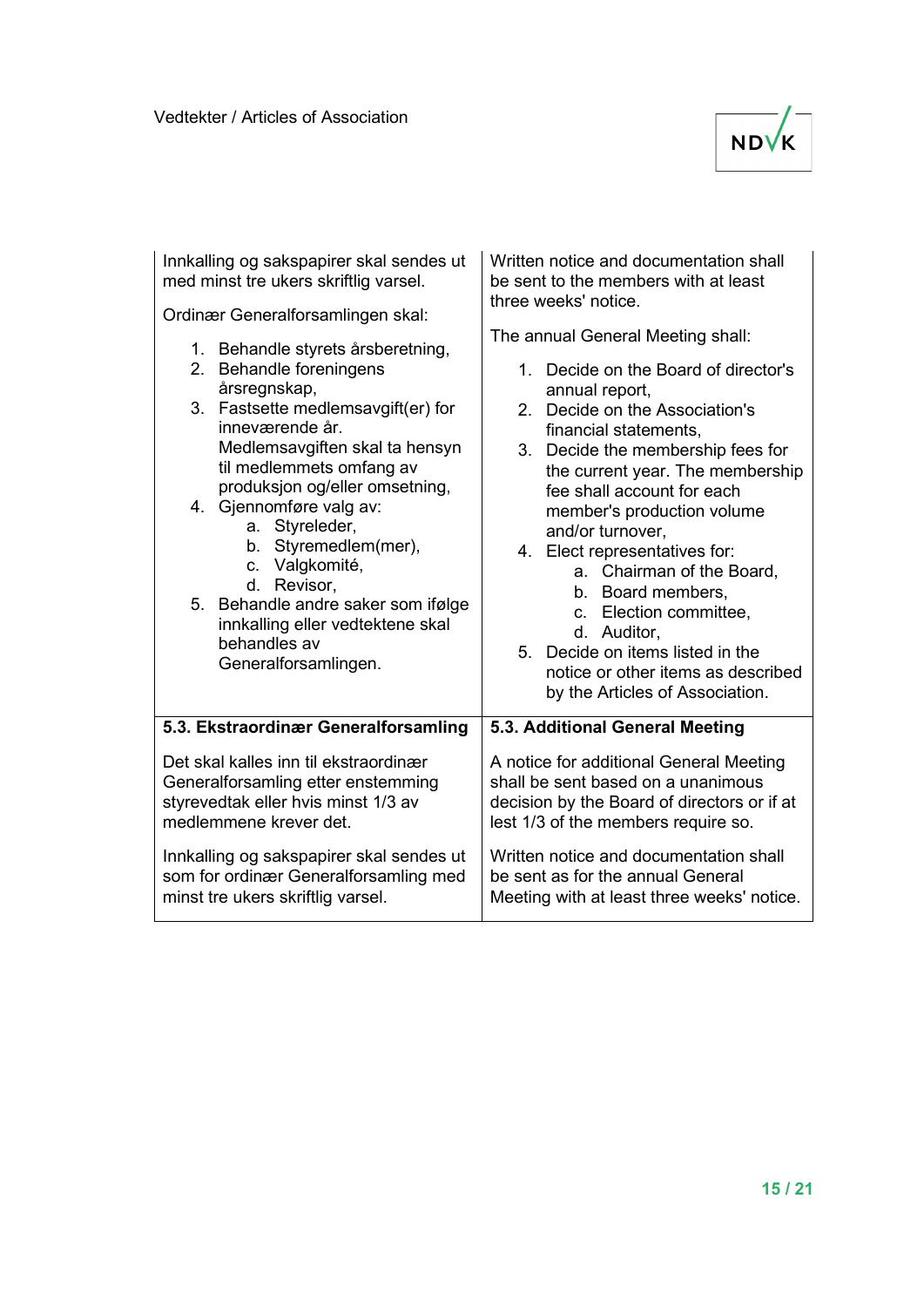

| Innkalling og sakspapirer skal sendes ut                                                                                                                                                                                                                                                                                                                                                                                                                      | Written notice and documentation shall                                                                                                                                                                                                                                                                                                                                                                                                                                                                                                                      |
|---------------------------------------------------------------------------------------------------------------------------------------------------------------------------------------------------------------------------------------------------------------------------------------------------------------------------------------------------------------------------------------------------------------------------------------------------------------|-------------------------------------------------------------------------------------------------------------------------------------------------------------------------------------------------------------------------------------------------------------------------------------------------------------------------------------------------------------------------------------------------------------------------------------------------------------------------------------------------------------------------------------------------------------|
| med minst tre ukers skriftlig varsel.                                                                                                                                                                                                                                                                                                                                                                                                                         | be sent to the members with at least                                                                                                                                                                                                                                                                                                                                                                                                                                                                                                                        |
| Ordinær Generalforsamlingen skal:                                                                                                                                                                                                                                                                                                                                                                                                                             | three weeks' notice.                                                                                                                                                                                                                                                                                                                                                                                                                                                                                                                                        |
| 1. Behandle styrets årsberetning,<br>2. Behandle foreningens<br>årsregnskap,<br>3. Fastsette medlemsavgift(er) for<br>inneværende år.<br>Medlemsavgiften skal ta hensyn<br>til medlemmets omfang av<br>produksjon og/eller omsetning,<br>4. Gjennomføre valg av:<br>a. Styreleder,<br>b. Styremedlem(mer),<br>c. Valgkomité,<br>d. Revisor,<br>5. Behandle andre saker som ifølge<br>innkalling eller vedtektene skal<br>behandles av<br>Generalforsamlingen. | The annual General Meeting shall:<br>1. Decide on the Board of director's<br>annual report,<br>2. Decide on the Association's<br>financial statements,<br>Decide the membership fees for<br>3.<br>the current year. The membership<br>fee shall account for each<br>member's production volume<br>and/or turnover,<br>4. Elect representatives for:<br>a. Chairman of the Board,<br>b. Board members,<br>c. Election committee,<br>d. Auditor,<br>5. Decide on items listed in the<br>notice or other items as described<br>by the Articles of Association. |
| 5.3. Ekstraordinær Generalforsamling                                                                                                                                                                                                                                                                                                                                                                                                                          | 5.3. Additional General Meeting                                                                                                                                                                                                                                                                                                                                                                                                                                                                                                                             |
| Det skal kalles inn til ekstraordinær                                                                                                                                                                                                                                                                                                                                                                                                                         | A notice for additional General Meeting                                                                                                                                                                                                                                                                                                                                                                                                                                                                                                                     |
| Generalforsamling etter enstemming                                                                                                                                                                                                                                                                                                                                                                                                                            | shall be sent based on a unanimous                                                                                                                                                                                                                                                                                                                                                                                                                                                                                                                          |
| styrevedtak eller hvis minst 1/3 av                                                                                                                                                                                                                                                                                                                                                                                                                           | decision by the Board of directors or if at                                                                                                                                                                                                                                                                                                                                                                                                                                                                                                                 |
| medlemmene krever det.                                                                                                                                                                                                                                                                                                                                                                                                                                        | lest 1/3 of the members require so.                                                                                                                                                                                                                                                                                                                                                                                                                                                                                                                         |
| Innkalling og sakspapirer skal sendes ut                                                                                                                                                                                                                                                                                                                                                                                                                      | Written notice and documentation shall                                                                                                                                                                                                                                                                                                                                                                                                                                                                                                                      |
| som for ordinær Generalforsamling med                                                                                                                                                                                                                                                                                                                                                                                                                         | be sent as for the annual General                                                                                                                                                                                                                                                                                                                                                                                                                                                                                                                           |
| minst tre ukers skriftlig varsel.                                                                                                                                                                                                                                                                                                                                                                                                                             | Meeting with at least three weeks' notice.                                                                                                                                                                                                                                                                                                                                                                                                                                                                                                                  |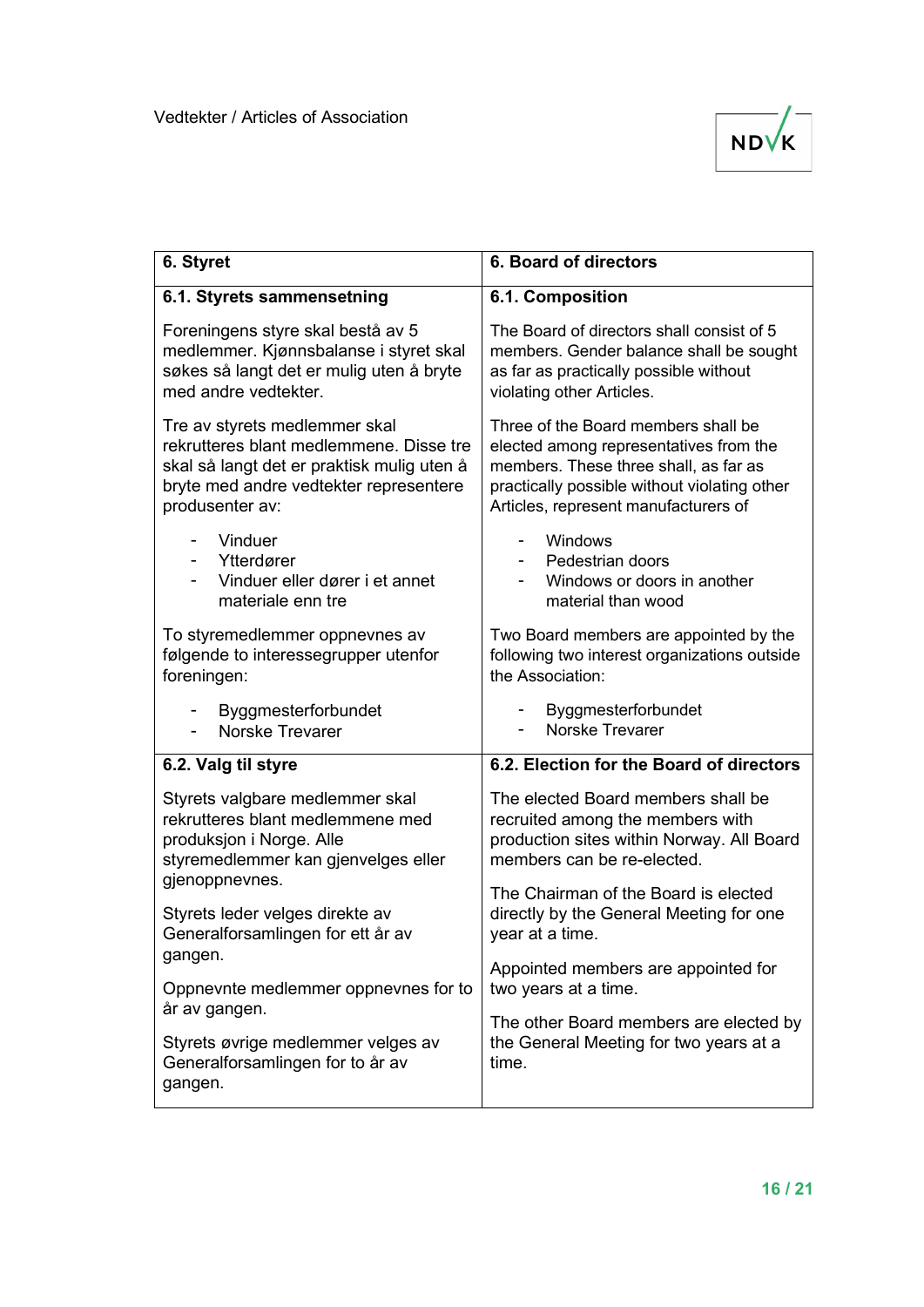

| 6. Styret                                                                                                                                                                           | 6. Board of directors                                                                                                                                                                                          |
|-------------------------------------------------------------------------------------------------------------------------------------------------------------------------------------|----------------------------------------------------------------------------------------------------------------------------------------------------------------------------------------------------------------|
| 6.1. Styrets sammensetning                                                                                                                                                          | 6.1. Composition                                                                                                                                                                                               |
| Foreningens styre skal bestå av 5<br>medlemmer. Kjønnsbalanse i styret skal<br>søkes så langt det er mulig uten å bryte<br>med andre vedtekter.                                     | The Board of directors shall consist of 5<br>members. Gender balance shall be sought<br>as far as practically possible without<br>violating other Articles.                                                    |
| Tre av styrets medlemmer skal<br>rekrutteres blant medlemmene. Disse tre<br>skal så langt det er praktisk mulig uten å<br>bryte med andre vedtekter representere<br>produsenter av: | Three of the Board members shall be<br>elected among representatives from the<br>members. These three shall, as far as<br>practically possible without violating other<br>Articles, represent manufacturers of |
| Vinduer<br>Ytterdører<br>Vinduer eller dører i et annet<br>materiale enn tre                                                                                                        | Windows<br>$\overline{\phantom{0}}$<br>Pedestrian doors<br>Windows or doors in another<br>material than wood                                                                                                   |
| To styremedlemmer oppnevnes av<br>følgende to interessegrupper utenfor<br>foreningen:                                                                                               | Two Board members are appointed by the<br>following two interest organizations outside<br>the Association:                                                                                                     |
| Byggmesterforbundet<br>Norske Trevarer                                                                                                                                              | Byggmesterforbundet<br>Norske Trevarer                                                                                                                                                                         |
| 6.2. Valg til styre                                                                                                                                                                 | 6.2. Election for the Board of directors                                                                                                                                                                       |
| Styrets valgbare medlemmer skal<br>rekrutteres blant medlemmene med<br>produksjon i Norge. Alle<br>styremedlemmer kan gjenvelges eller<br>gjenoppnevnes.                            | The elected Board members shall be<br>recruited among the members with<br>production sites within Norway. All Board<br>members can be re-elected.                                                              |
| Styrets leder velges direkte av<br>Generalforsamlingen for ett år av<br>gangen.                                                                                                     | The Chairman of the Board is elected<br>directly by the General Meeting for one<br>year at a time.                                                                                                             |
| Oppnevnte medlemmer oppnevnes for to                                                                                                                                                | Appointed members are appointed for<br>two years at a time.                                                                                                                                                    |
| år av gangen.                                                                                                                                                                       | The other Board members are elected by                                                                                                                                                                         |
| Styrets øvrige medlemmer velges av<br>Generalforsamlingen for to år av<br>gangen.                                                                                                   | the General Meeting for two years at a<br>time.                                                                                                                                                                |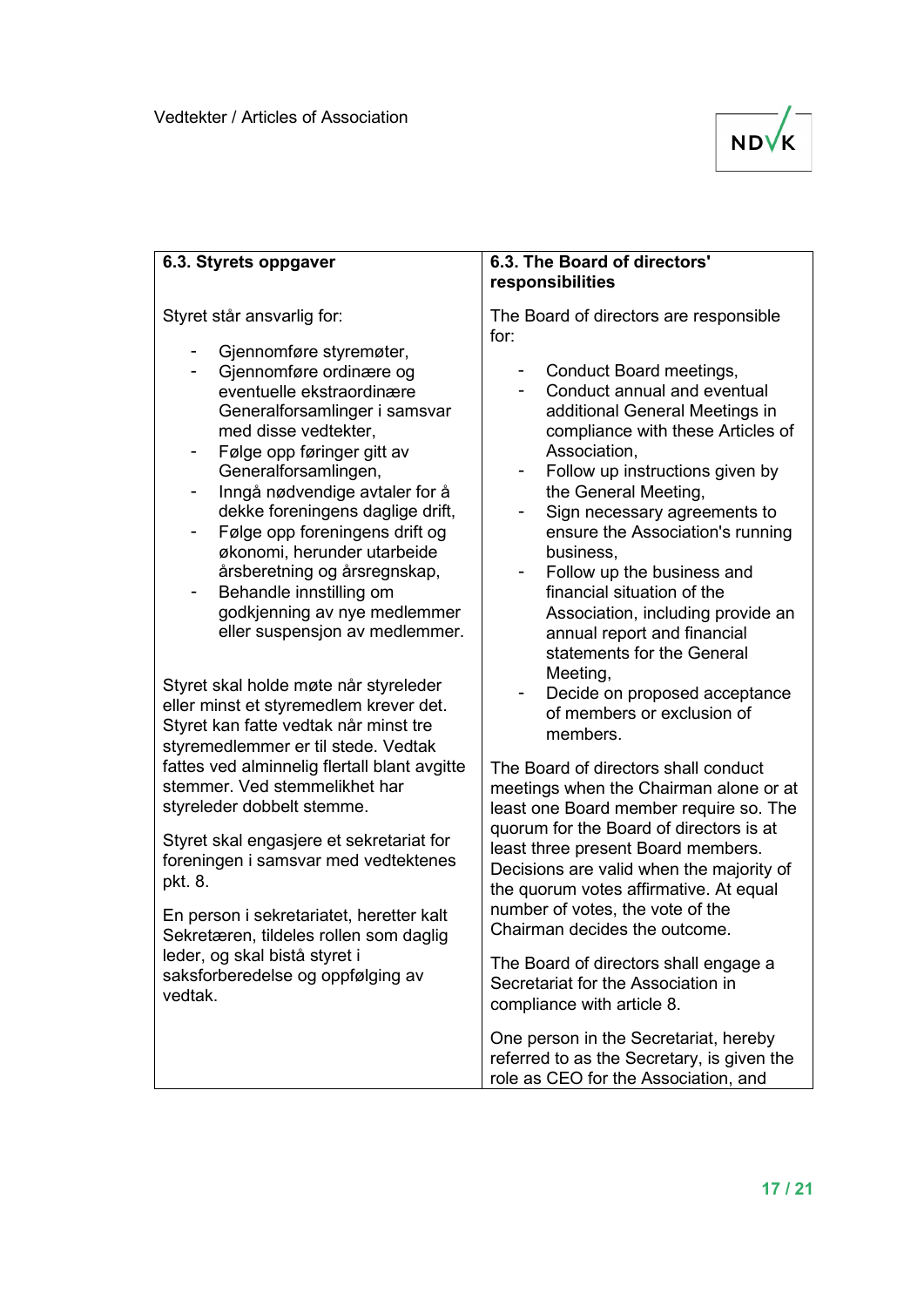

| 6.3. Styrets oppgaver                                                                                                                                                                                                                                                                             | 6.3. The Board of directors'<br>responsibilities                                                                                                                                                                                                                                                                                                                                                                                                                                                          |
|---------------------------------------------------------------------------------------------------------------------------------------------------------------------------------------------------------------------------------------------------------------------------------------------------|-----------------------------------------------------------------------------------------------------------------------------------------------------------------------------------------------------------------------------------------------------------------------------------------------------------------------------------------------------------------------------------------------------------------------------------------------------------------------------------------------------------|
| Styret står ansvarlig for:<br>Gjennomføre styremøter,<br>Gjennomføre ordinære og<br>eventuelle ekstraordinære<br>Generalforsamlinger i samsvar<br>med disse vedtekter,<br>Følge opp føringer gitt av<br>Generalforsamlingen,                                                                      | The Board of directors are responsible<br>for:<br>Conduct Board meetings,<br>Conduct annual and eventual<br>additional General Meetings in<br>compliance with these Articles of<br>Association,<br>Follow up instructions given by<br>the General Meeting,<br>Sign necessary agreements to<br>ensure the Association's running<br>business,<br>Follow up the business and<br>financial situation of the<br>Association, including provide an<br>annual report and financial<br>statements for the General |
| Inngå nødvendige avtaler for å<br>-<br>dekke foreningens daglige drift,<br>Følge opp foreningens drift og<br>$\overline{\phantom{0}}$<br>økonomi, herunder utarbeide<br>årsberetning og årsregnskap,<br>Behandle innstilling om<br>godkjenning av nye medlemmer<br>eller suspensjon av medlemmer. |                                                                                                                                                                                                                                                                                                                                                                                                                                                                                                           |
| Styret skal holde møte når styreleder<br>eller minst et styremedlem krever det.<br>Styret kan fatte vedtak når minst tre<br>styremedlemmer er til stede. Vedtak                                                                                                                                   | Meeting,<br>Decide on proposed acceptance<br>of members or exclusion of<br>members.                                                                                                                                                                                                                                                                                                                                                                                                                       |
| fattes ved alminnelig flertall blant avgitte<br>stemmer. Ved stemmelikhet har<br>styreleder dobbelt stemme.                                                                                                                                                                                       | The Board of directors shall conduct<br>meetings when the Chairman alone or at<br>least one Board member require so. The                                                                                                                                                                                                                                                                                                                                                                                  |
| Styret skal engasjere et sekretariat for<br>foreningen i samsvar med vedtektenes<br>pkt. 8.                                                                                                                                                                                                       | quorum for the Board of directors is at<br>least three present Board members.<br>Decisions are valid when the majority of<br>the quorum votes affirmative. At equal                                                                                                                                                                                                                                                                                                                                       |
| En person i sekretariatet, heretter kalt<br>Sekretæren, tildeles rollen som daglig<br>leder, og skal bistå styret i<br>saksforberedelse og oppfølging av<br>vedtak.                                                                                                                               | number of votes, the vote of the<br>Chairman decides the outcome.                                                                                                                                                                                                                                                                                                                                                                                                                                         |
|                                                                                                                                                                                                                                                                                                   | The Board of directors shall engage a<br>Secretariat for the Association in<br>compliance with article 8.                                                                                                                                                                                                                                                                                                                                                                                                 |
|                                                                                                                                                                                                                                                                                                   | One person in the Secretariat, hereby<br>referred to as the Secretary, is given the                                                                                                                                                                                                                                                                                                                                                                                                                       |

role as CEO for the Association, and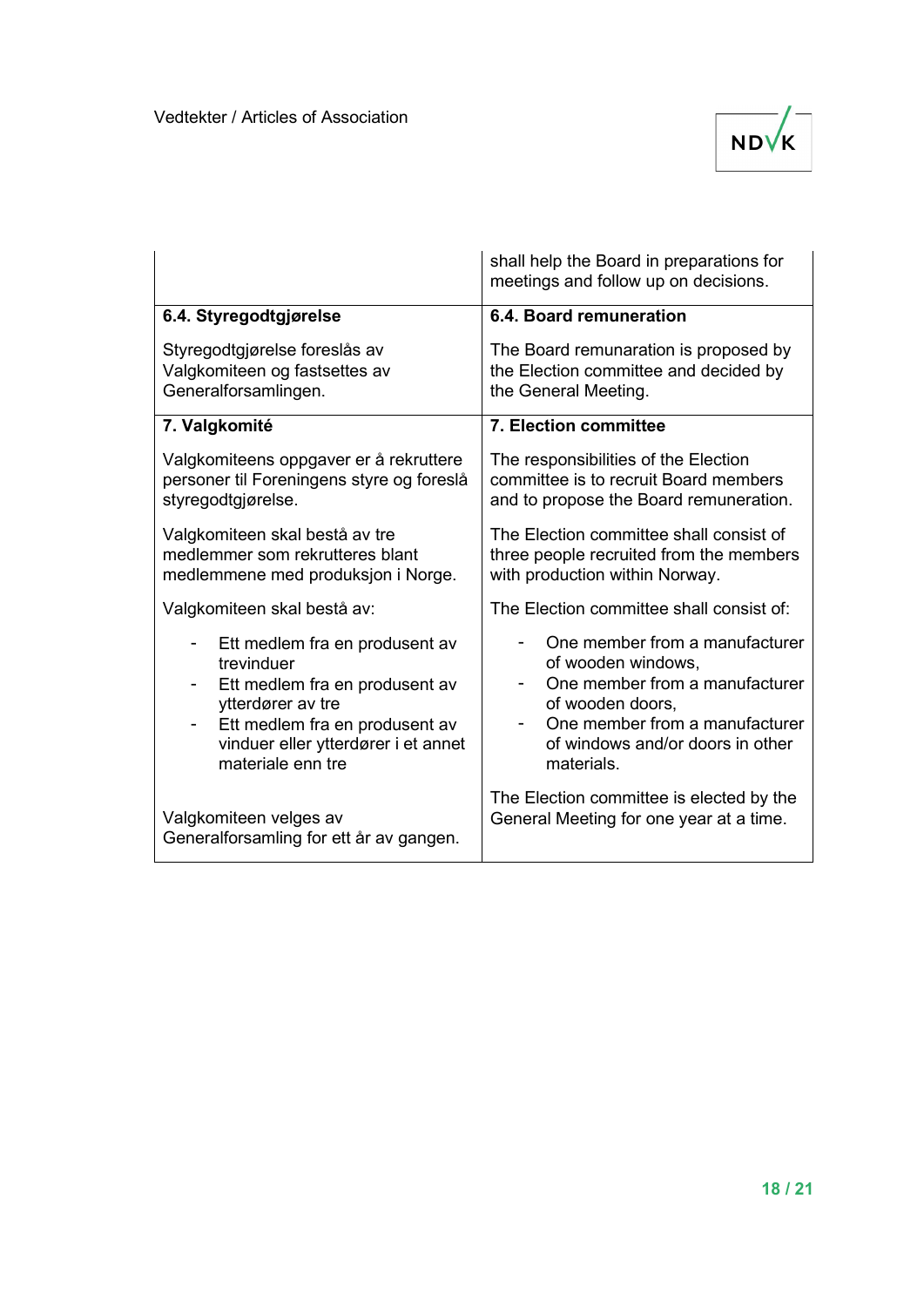

|                                           | shall help the Board in preparations for<br>meetings and follow up on decisions. |
|-------------------------------------------|----------------------------------------------------------------------------------|
| 6.4. Styregodtgjørelse                    | 6.4. Board remuneration                                                          |
| Styregodtgjørelse foreslås av             | The Board remunaration is proposed by                                            |
| Valgkomiteen og fastsettes av             | the Election committee and decided by                                            |
| Generalforsamlingen.                      | the General Meeting.                                                             |
| 7. Valgkomité                             | 7. Election committee                                                            |
| Valgkomiteens oppgaver er å rekruttere    | The responsibilities of the Election                                             |
| personer til Foreningens styre og foreslå | committee is to recruit Board members                                            |
| styregodtgjørelse.                        | and to propose the Board remuneration.                                           |
| Valgkomiteen skal bestå av tre            | The Election committee shall consist of                                          |
| medlemmer som rekrutteres blant           | three people recruited from the members                                          |
| medlemmene med produksjon i Norge.        | with production within Norway.                                                   |
| Valgkomiteen skal bestå av:               | The Election committee shall consist of:                                         |
| Ett medlem fra en produsent av            | One member from a manufacturer                                                   |
| trevinduer                                | of wooden windows,                                                               |
| Ett medlem fra en produsent av            | One member from a manufacturer                                                   |
| ytterdører av tre                         | of wooden doors,                                                                 |
| Ett medlem fra en produsent av            | One member from a manufacturer                                                   |
| vinduer eller ytterdører i et annet       | of windows and/or doors in other                                                 |
| materiale enn tre                         | materials.                                                                       |
| Valgkomiteen velges av                    | The Election committee is elected by the                                         |
| Generalforsamling for ett år av gangen.   | General Meeting for one year at a time.                                          |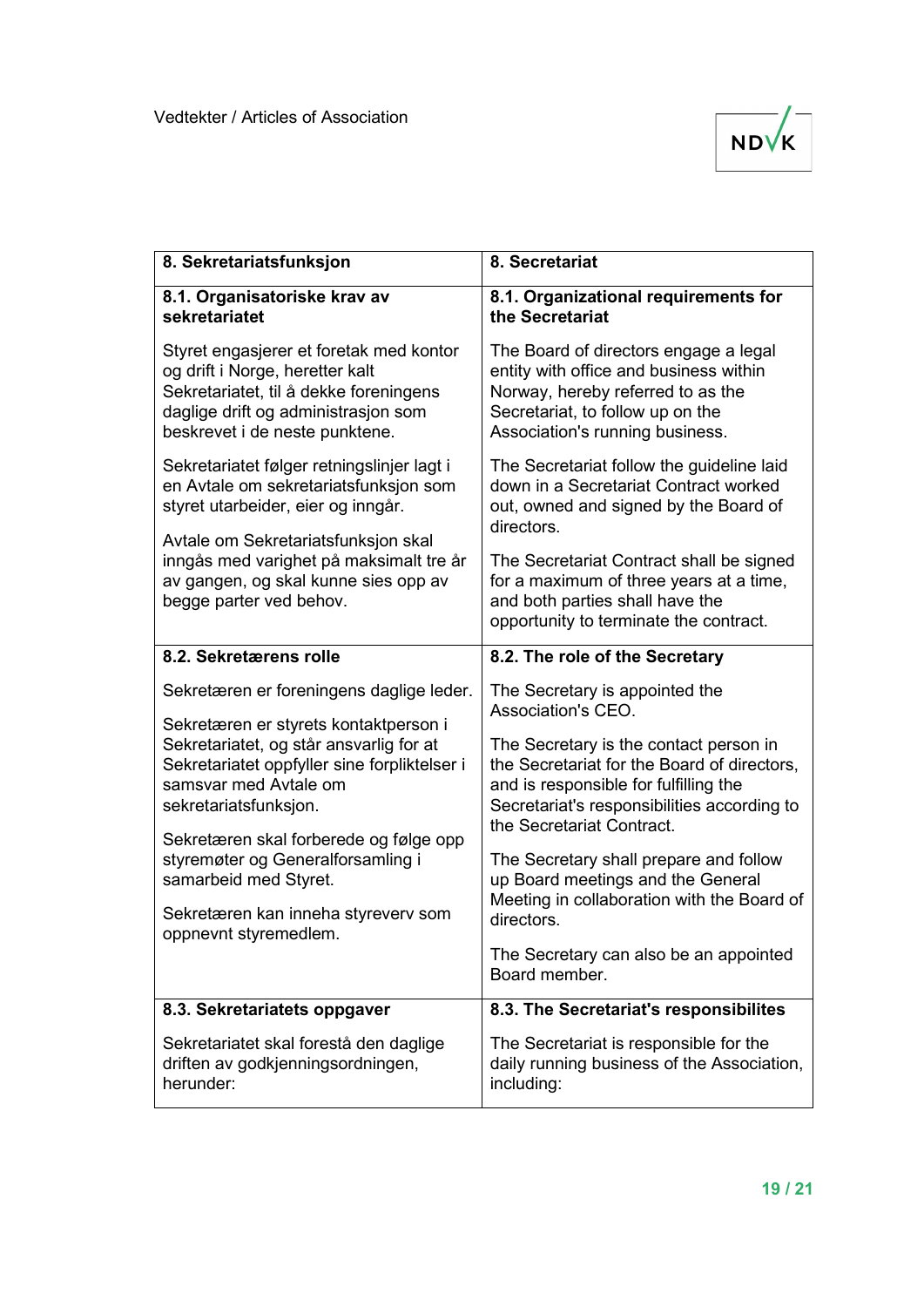

| 8. Sekretariatsfunksjon                                                                                                                                                                                                                                                                                                                                                                                | 8. Secretariat                                                                                                                                                                                                                                                                                                                                                                                                                                                           |
|--------------------------------------------------------------------------------------------------------------------------------------------------------------------------------------------------------------------------------------------------------------------------------------------------------------------------------------------------------------------------------------------------------|--------------------------------------------------------------------------------------------------------------------------------------------------------------------------------------------------------------------------------------------------------------------------------------------------------------------------------------------------------------------------------------------------------------------------------------------------------------------------|
| 8.1. Organisatoriske krav av<br>sekretariatet                                                                                                                                                                                                                                                                                                                                                          | 8.1. Organizational requirements for<br>the Secretariat                                                                                                                                                                                                                                                                                                                                                                                                                  |
| Styret engasjerer et foretak med kontor<br>og drift i Norge, heretter kalt<br>Sekretariatet, til å dekke foreningens<br>daglige drift og administrasjon som<br>beskrevet i de neste punktene.                                                                                                                                                                                                          | The Board of directors engage a legal<br>entity with office and business within<br>Norway, hereby referred to as the<br>Secretariat, to follow up on the<br>Association's running business.                                                                                                                                                                                                                                                                              |
| Sekretariatet følger retningslinjer lagt i<br>en Avtale om sekretariatsfunksjon som<br>styret utarbeider, eier og inngår.<br>Avtale om Sekretariatsfunksjon skal                                                                                                                                                                                                                                       | The Secretariat follow the guideline laid<br>down in a Secretariat Contract worked<br>out, owned and signed by the Board of<br>directors.                                                                                                                                                                                                                                                                                                                                |
| inngås med varighet på maksimalt tre år<br>av gangen, og skal kunne sies opp av<br>begge parter ved behov.                                                                                                                                                                                                                                                                                             | The Secretariat Contract shall be signed<br>for a maximum of three years at a time,<br>and both parties shall have the<br>opportunity to terminate the contract.                                                                                                                                                                                                                                                                                                         |
| 8.2. Sekretærens rolle                                                                                                                                                                                                                                                                                                                                                                                 | 8.2. The role of the Secretary                                                                                                                                                                                                                                                                                                                                                                                                                                           |
| Sekretæren er foreningens daglige leder.<br>Sekretæren er styrets kontaktperson i<br>Sekretariatet, og står ansvarlig for at<br>Sekretariatet oppfyller sine forpliktelser i<br>samsvar med Avtale om<br>sekretariatsfunksjon.<br>Sekretæren skal forberede og følge opp<br>styremøter og Generalforsamling i<br>samarbeid med Styret.<br>Sekretæren kan inneha styreverv som<br>oppnevnt styremedlem. | The Secretary is appointed the<br>Association's CEO.<br>The Secretary is the contact person in<br>the Secretariat for the Board of directors,<br>and is responsible for fulfilling the<br>Secretariat's responsibilities according to<br>the Secretariat Contract.<br>The Secretary shall prepare and follow<br>up Board meetings and the General<br>Meeting in collaboration with the Board of<br>directors.<br>The Secretary can also be an appointed<br>Board member. |
| 8.3. Sekretariatets oppgaver                                                                                                                                                                                                                                                                                                                                                                           | 8.3. The Secretariat's responsibilites                                                                                                                                                                                                                                                                                                                                                                                                                                   |
| Sekretariatet skal forestå den daglige<br>driften av godkjenningsordningen,<br>herunder:                                                                                                                                                                                                                                                                                                               | The Secretariat is responsible for the<br>daily running business of the Association,<br>including:                                                                                                                                                                                                                                                                                                                                                                       |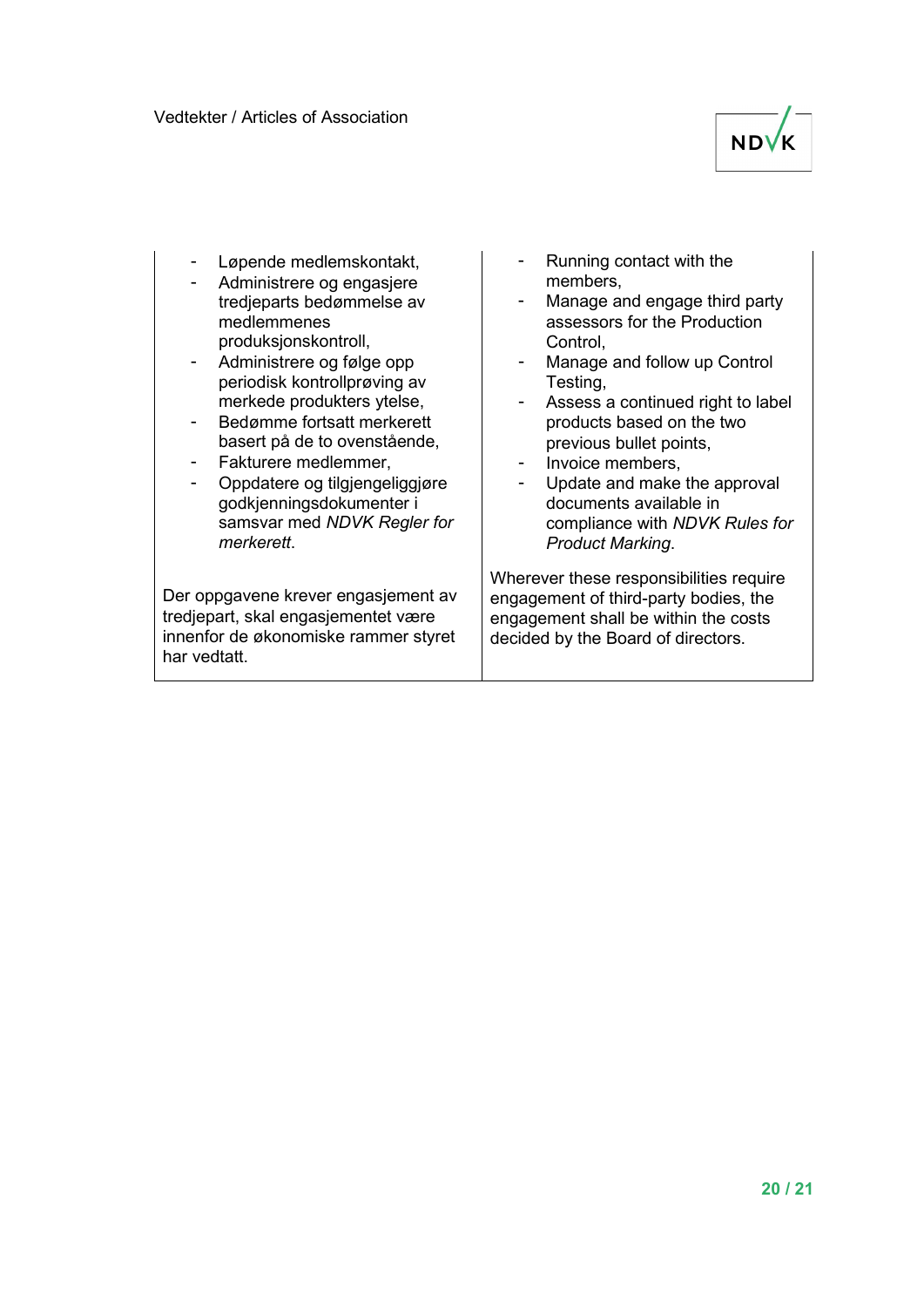

- Løpende medlemskontakt,
- Administrere og engasjere tredjeparts bedømmelse av medlemmenes produksjonskontroll,
- Administrere og følge opp periodisk kontrollprøving av merkede produkters ytelse,
- Bedømme fortsatt merkerett basert på de to ovenstående,
- Fakturere medlemmer,
- Oppdatere og tilgjengeliggjøre godkjenningsdokumenter i samsvar med *NDVK Regler for merkerett*.

Der oppgavene krever engasjement av tredjepart, skal engasjementet være innenfor de økonomiske rammer styret har vedtatt.

- Running contact with the members,
- Manage and engage third party assessors for the Production Control,
- Manage and follow up Control Testing,
- Assess a continued right to label products based on the two previous bullet points,
- Invoice members,
- Update and make the approval documents available in compliance with *NDVK Rules for Product Marking*.

Wherever these responsibilities require engagement of third-party bodies, the engagement shall be within the costs decided by the Board of directors.